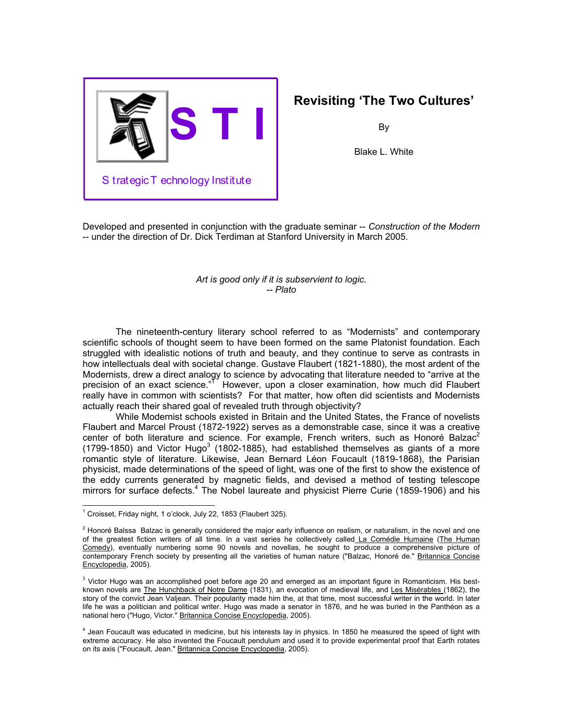

# **Revisiting 'The Two Cultures'**

By

Blake L. White

Developed and presented in conjunction with the graduate seminar -- *Construction of the Modern* -- under the direction of Dr. Dick Terdiman at Stanford University in March 2005.

## *Art is good only if it is subservient to logic. -- Plato*

The nineteenth-century literary school referred to as "Modernists" and contemporary scientific schools of thought seem to have been formed on the same Platonist foundation. Each struggled with idealistic notions of truth and beauty, and they continue to serve as contrasts in how intellectuals deal with societal change. Gustave Flaubert (1821-1880), the most ardent of the Modernists, drew a direct analogy to science by advocating that literature needed to "arrive at the precision of an exact science."<sup>[1](#page-0-0)1</sup> However, upon a closer examination, how much did Flaubert really have in common with scientists? For that matter, how often did scientists and Modernists actually reach their shared goal of revealed truth through objectivity?

While Modernist schools existed in Britain and the United States, the France of novelists Flaubert and Marcel Proust (1872-1922) serves as a demonstrable case, since it was a creative center of both literature and science. For example, French writers, such as Honoré Balzac<sup>2</sup> (1799-1850) and Victor Hugo<sup>3</sup> (1802-1885), had established themselves as giants of a more romantic style of literature. Likewise, Jean Bernard Léon Foucault (1819-1868), the Parisian physicist, made determinations of the speed of light, was one of the first to show the existence of the eddy currents generated by magnetic fields, and devised a method of testing telescope mirrors for surface defects.<sup>[4](#page-0-3)</sup> The Nobel laureate and physicist Pierre Curie (1859-1906) and his

 $\overline{\phantom{a}}$ 

<span id="page-0-0"></span> $1$  Croisset, Friday night, 1 o'clock, July 22, 1853 (Flaubert 325).

<span id="page-0-1"></span> $2$  Honoré Balssa Balzac is generally considered the major early influence on realism, or naturalism, in the novel and one of the greatest fiction writers of all time. In a vast series he collectively called La Comédie Humaine (The Human Comedy), eventually numbering some 90 novels and novellas, he sought to produce a comprehensive picture of contemporary French society by presenting all the varieties of human nature ("Balzac, Honoré de." Britannica Concise Encyclopedia, 2005).

<span id="page-0-2"></span><sup>&</sup>lt;sup>3</sup> Victor Hugo was an accomplished poet before age 20 and emerged as an important figure in Romanticism. His bestknown novels are The Hunchback of Notre Dame (1831), an evocation of medieval life, and Les Misérables (1862), the story of the convict Jean Valjean. Their popularity made him the, at that time, most successful writer in the world. In later life he was a politician and political writer. Hugo was made a senator in 1876, and he was buried in the Panthéon as a national hero ("Hugo, Victor." Britannica Concise Encyclopedia, 2005).

<span id="page-0-3"></span> $4$  Jean Foucault was educated in medicine, but his interests lay in physics. In 1850 he measured the speed of light with extreme accuracy. He also invented the Foucault pendulum and used it to provide experimental proof that Earth rotates on its axis ("Foucault, Jean." Britannica Concise Encyclopedia, 2005).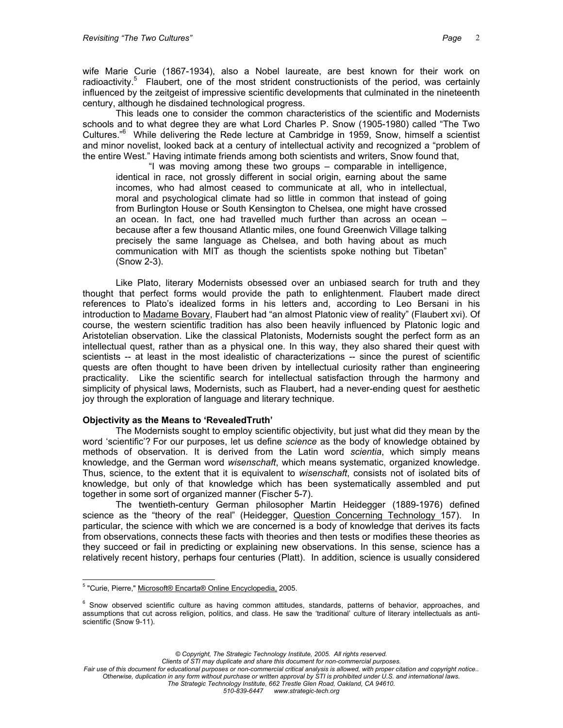wife Marie Curie (1867-1934), also a Nobel laureate, are best known for their work on radioactivity.<sup>[5](#page-1-0)</sup> Flaubert, one of the most strident constructionists of the period, was certainly influenced by the zeitgeist of impressive scientific developments that culminated in the nineteenth century, although he disdained technological progress.

This leads one to consider the common characteristics of the scientific and Modernists schools and to what degree they are what Lord Charles P. Snow (1905-1980) called "The Two Cultures."[6](#page-1-1) While delivering the Rede lecture at Cambridge in 1959, Snow, himself a scientist and minor novelist, looked back at a century of intellectual activity and recognized a "problem of the entire West." Having intimate friends among both scientists and writers, Snow found that,

"I was moving among these two groups – comparable in intelligence, identical in race, not grossly different in social origin, earning about the same incomes, who had almost ceased to communicate at all, who in intellectual, moral and psychological climate had so little in common that instead of going from Burlington House or South Kensington to Chelsea, one might have crossed an ocean. In fact, one had travelled much further than across an ocean – because after a few thousand Atlantic miles, one found Greenwich Village talking precisely the same language as Chelsea, and both having about as much communication with MIT as though the scientists spoke nothing but Tibetan" (Snow 2-3).

Like Plato, literary Modernists obsessed over an unbiased search for truth and they thought that perfect forms would provide the path to enlightenment. Flaubert made direct references to Plato's idealized forms in his letters and, according to Leo Bersani in his introduction to Madame Bovary, Flaubert had "an almost Platonic view of reality" (Flaubert xvi). Of course, the western scientific tradition has also been heavily influenced by Platonic logic and Aristotelian observation. Like the classical Platonists, Modernists sought the perfect form as an intellectual quest, rather than as a physical one. In this way, they also shared their quest with scientists -- at least in the most idealistic of characterizations -- since the purest of scientific quests are often thought to have been driven by intellectual curiosity rather than engineering practicality. Like the scientific search for intellectual satisfaction through the harmony and simplicity of physical laws, Modernists, such as Flaubert, had a never-ending quest for aesthetic joy through the exploration of language and literary technique.

## **Objectivity as the Means to 'RevealedTruth'**

The Modernists sought to employ scientific objectivity, but just what did they mean by the word 'scientific'? For our purposes, let us define *science* as the body of knowledge obtained by methods of observation. It is derived from the Latin word *scientia*, which simply means knowledge, and the German word *wisenschaft*, which means systematic, organized knowledge. Thus, science, to the extent that it is equivalent to *wisenschaft*, consists not of isolated bits of knowledge, but only of that knowledge which has been systematically assembled and put together in some sort of organized manner (Fischer 5-7).

The twentieth-century German philosopher Martin Heidegger (1889-1976) defined science as the "theory of the real" (Heidegger, Question Concerning Technology 157). In particular, the science with which we are concerned is a body of knowledge that derives its facts from observations, connects these facts with theories and then tests or modifies these theories as they succeed or fail in predicting or explaining new observations. In this sense, science has a relatively recent history, perhaps four centuries (Platt). In addition, science is usually considered

*Clients of STI may duplicate and share this document for non-commercial purposes.*

*Fair use of this document for educational purposes or non-commercial critical analysis is allowed, with proper citation and copyright notice.. Otherwise, duplication in any form without purchase or written approval by STI is prohibited under U.S. and international laws. The Strategic Technology Institute, 662 Trestle Glen Road, Oakland, CA 94610.*

*510-839-6447 www.strategic-tech.org*

<span id="page-1-0"></span> $\overline{\phantom{a}}$ <sup>5</sup> "Curie, Pierre," Microsoft® Encarta® Online Encyclopedia, 2005.

<span id="page-1-1"></span> $6$  Snow observed scientific culture as having common attitudes, standards, patterns of behavior, approaches, and assumptions that cut across religion, politics, and class. He saw the 'traditional' culture of literary intellectuals as antiscientific (Snow 9-11).

*<sup>©</sup> Copyright, The Strategic Technology Institute, 2005. All rights reserved.*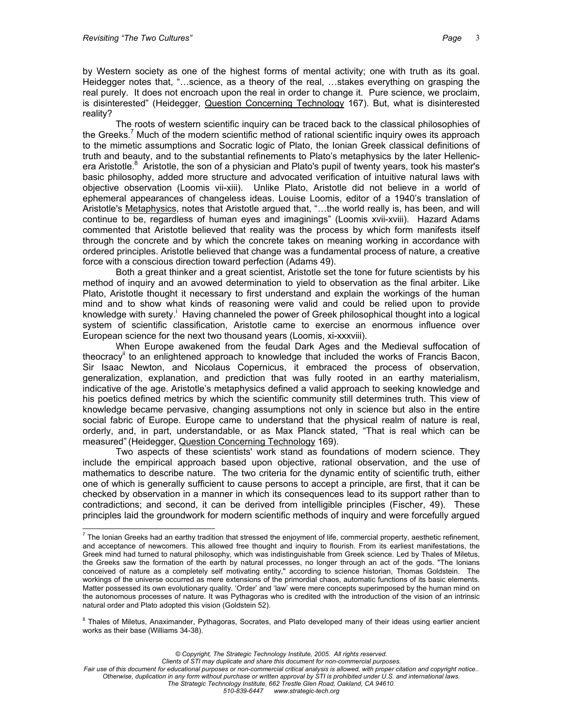by Western society as one of the highest forms of mental activity; one with truth as its goal. Heidegger notes that, "…science, as a theory of the real, …stakes everything on grasping the real purely. It does not encroach upon the real in order to change it. Pure science, we proclaim, is disinterested" (Heidegger, Question Concerning Technology 167). But, what is disinterested reality?

The roots of western scientific inquiry can be traced back to the classical philosophies of the Greeks.<sup>7</sup> Much of the modern scientific method of rational scientific inquiry owes its approach to the mimetic assumptions and Socratic logic of Plato, the Ionian Greek classical definitions of truth and beauty, and to the substantial refinements to Plato's metaphysics by the later Hellenicera Aristotle.<sup>8</sup> Aristotle, the son of a physician and Plato's pupil of twenty years, took his master's basic philosophy, added more structure and advocated verification of intuitive natural laws with objective observation (Loomis vii-xiii). Unlike Plato, Aristotle did not believe in a world of ephemeral appearances of changeless ideas. Louise Loomis, editor of a 1940's translation of Aristotle's Metaphysics, notes that Aristotle argued that, "...the world really is, has been, and will continue to be, regardless of human eyes and imaginings" (Loomis xvii-xviii). Hazard Adams commented that Aristotle believed that reality was the process by which form manifests itself through the concrete and by which the concrete takes on meaning working in accordance with ordered principles. Aristotle believed that change was a fundamental process of nature, a creative force with a conscious direction toward perfection (Adams 49).

Both a great thinker and a great scientist, Aristotle set the tone for future scientists by his method of inquiry and an avowed determination to yield to observation as the final arbiter. Like Plato, Aristotle thought it necessary to first understand and explain the workings of the human mind and to show what kinds of reasoning were valid and could be relied upon to provide knowledgewith surety.<sup>i</sup> Having channeled the power of Greek philosophical thought into a logical system of scientific classification, Aristotle came to exercise an enormous influence over European science for the next two thousand years (Loomis, xi-xxxviii).

When Europe awakened from the feudal Dark Ages and the Medieval suffocation of theocracy[ii](#page-23-1) to an enlightened approach to knowledge that included the works of Francis Bacon, Sir Isaac Newton, and Nicolaus Copernicus, it embraced the process of observation, generalization, explanation, and prediction that was fully rooted in an earthy materialism, indicative of the age. Aristotle's metaphysics defined a valid approach to seeking knowledge and his poetics defined metrics by which the scientific community still determines truth. This view of knowledge became pervasive, changing assumptions not only in science but also in the entire social fabric of Europe. Europe came to understand that the physical realm of nature is real, orderly, and, in part, understandable, or as Max Planck stated, "That is real which can be measured" (Heidegger, Question Concerning Technology 169).

Two aspects of these scientists' work stand as foundations of modern science. They include the empirical approach based upon objective, rational observation, and the use of mathematics to describe nature. The two criteria for the dynamic entity of scientific truth, either one of which is generally sufficient to cause persons to accept a principle, are first, that it can be checked by observation in a manner in which its consequences lead to its support rather than to contradictions; and second, it can be derived from intelligible principles (Fischer, 49). These principles laid the groundwork for modern scientific methods of inquiry and were forcefully argued

*© Copyright, The Strategic Technology Institute, 2005. All rights reserved.*

*Clients of STI may duplicate and share this document for non-commercial purposes.*

<span id="page-2-0"></span> $\overline{a}$  $^7$  The Ionian Greeks had an earthy tradition that stressed the enjoyment of life, commercial property, aesthetic refinement, and acceptance of newcomers. This allowed free thought and inquiry to flourish. From its earliest manifestations, the Greek mind had turned to natural philosophy, which was indistinguishable from Greek science. Led by Thales of Miletus, the Greeks saw the formation of the earth by natural processes, no longer through an act of the gods. "The Ionians conceived of nature as a completely self motivating entity," according to science historian, Thomas Goldstein. The workings of the universe occurred as mere extensions of the primordial chaos, automatic functions of its basic elements. Matter possessed its own evolutionary quality. 'Order' and 'law' were mere concepts superimposed by the human mind on the autonomous processes of nature. It was Pythagoras who is credited with the introduction of the vision of an intrinsic natural order and Plato adopted this vision (Goldstein 52).

<span id="page-2-1"></span><sup>&</sup>lt;sup>8</sup> Thales of Miletus, Anaximander, Pythagoras, Socrates, and Plato developed many of their ideas using earlier ancient works as their base (Williams 34-38).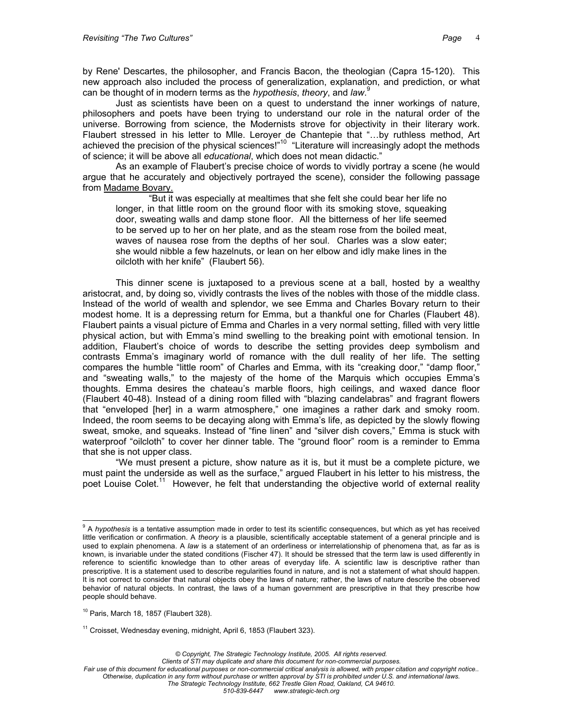by Rene' Descartes, the philosopher, and Francis Bacon, the theologian (Capra 15-120). This new approach also included the process of generalization, explanation, and prediction, or what can be thought of in modern terms as the *hypothesis*, *theory*, and *law*. [9](#page-3-0)

Just as scientists have been on a quest to understand the inner workings of nature, philosophers and poets have been trying to understand our role in the natural order of the universe. Borrowing from science, the Modernists strove for objectivity in their literary work. Flaubert stressed in his letter to Mlle. Leroyer de Chantepie that "…by ruthless method, Art achieved the precision of the physical sciences!"<sup>10</sup> "Literature will increasingly adopt the methods of science; it will be above all *educational*, which does not mean didactic."

As an example of Flaubert's precise choice of words to vividly portray a scene (he would argue that he accurately and objectively portrayed the scene), consider the following passage from Madame Bovary.

"But it was especially at mealtimes that she felt she could bear her life no longer, in that little room on the ground floor with its smoking stove, squeaking door, sweating walls and damp stone floor. All the bitterness of her life seemed to be served up to her on her plate, and as the steam rose from the boiled meat, waves of nausea rose from the depths of her soul. Charles was a slow eater; she would nibble a few hazelnuts, or lean on her elbow and idly make lines in the oilcloth with her knife" (Flaubert 56).

This dinner scene is juxtaposed to a previous scene at a ball, hosted by a wealthy aristocrat, and, by doing so, vividly contrasts the lives of the nobles with those of the middle class. Instead of the world of wealth and splendor, we see Emma and Charles Bovary return to their modest home. It is a depressing return for Emma, but a thankful one for Charles (Flaubert 48). Flaubert paints a visual picture of Emma and Charles in a very normal setting, filled with very little physical action, but with Emma's mind swelling to the breaking point with emotional tension. In addition, Flaubert's choice of words to describe the setting provides deep symbolism and contrasts Emma's imaginary world of romance with the dull reality of her life. The setting compares the humble "little room" of Charles and Emma, with its "creaking door," "damp floor," and "sweating walls," to the majesty of the home of the Marquis which occupies Emma's thoughts. Emma desires the chateau's marble floors, high ceilings, and waxed dance floor (Flaubert 40-48). Instead of a dining room filled with "blazing candelabras" and fragrant flowers that "enveloped [her] in a warm atmosphere," one imagines a rather dark and smoky room. Indeed, the room seems to be decaying along with Emma's life, as depicted by the slowly flowing sweat, smoke, and squeaks. Instead of "fine linen" and "silver dish covers," Emma is stuck with waterproof "oilcloth" to cover her dinner table. The "ground floor" room is a reminder to Emma that she is not upper class.

"We must present a picture, show nature as it is, but it must be a complete picture, we must paint the underside as well as the surface," argued Flaubert in his letter to his mistress, the poet Louise Colet.<sup>11</sup> However, he felt that understanding the objective world of external reality

<span id="page-3-0"></span> $\overline{a}$ <sup>9</sup> A *hypothesis* is a tentative assumption made in order to test its scientific consequences, but which as yet has received little verification or confirmation. A *theory* is a plausible, scientifically acceptable statement of a general principle and is used to explain phenomena. A *law* is a statement of an orderliness or interrelationship of phenomena that, as far as is known, is invariable under the stated conditions (Fischer 47). It should be stressed that the term law is used differently in reference to scientific knowledge than to other areas of everyday life. A scientific law is descriptive rather than prescriptive. It is a statement used to describe regularities found in nature, and is not a statement of what should happen. It is not correct to consider that natural objects obey the laws of nature; rather, the laws of nature describe the observed behavior of natural objects. In contrast, the laws of a human government are prescriptive in that they prescribe how people should behave.

<span id="page-3-1"></span> $10$  Paris, March 18, 1857 (Flaubert 328).

<span id="page-3-2"></span><sup>&</sup>lt;sup>11</sup> Croisset, Wednesday evening, midnight, April 6, 1853 (Flaubert 323).

*Clients of STI may duplicate and share this document for non-commercial purposes. Fair use of this document for educational purposes or non-commercial critical analysis is allowed, with proper citation and copyright notice.. Otherwise, duplication in any form without purchase or written approval by STI is prohibited under U.S. and international laws. The Strategic Technology Institute, 662 Trestle Glen Road, Oakland, CA 94610. 510-839-6447 www.strategic-tech.org*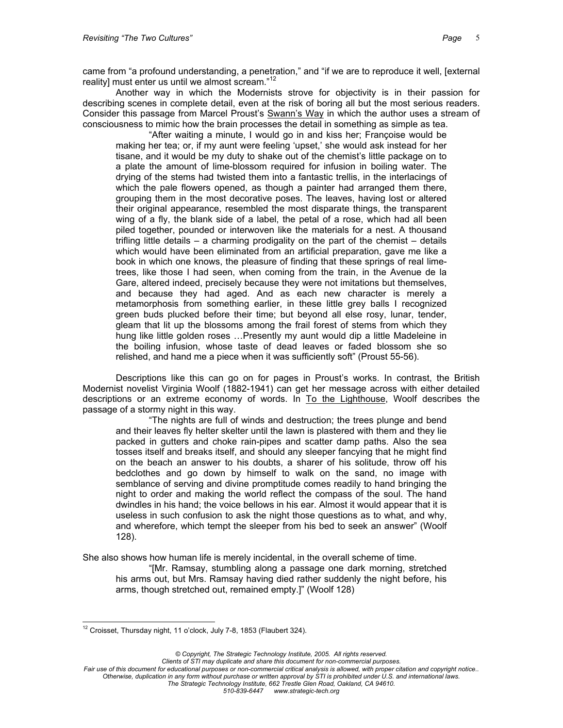Another way in which the Modernists strove for objectivity is in their passion for describing scenes in complete detail, even at the risk of boring all but the most serious readers. Consider this passage from Marcel Proust's Swann's Way in which the author uses a stream of consciousness to mimic how the brain processes the detail in something as simple as tea.

"After waiting a minute, I would go in and kiss her; Françoise would be making her tea; or, if my aunt were feeling 'upset,' she would ask instead for her tisane, and it would be my duty to shake out of the chemist's little package on to a plate the amount of lime-blossom required for infusion in boiling water. The drying of the stems had twisted them into a fantastic trellis, in the interlacings of which the pale flowers opened, as though a painter had arranged them there, grouping them in the most decorative poses. The leaves, having lost or altered their original appearance, resembled the most disparate things, the transparent wing of a fly, the blank side of a label, the petal of a rose, which had all been piled together, pounded or interwoven like the materials for a nest. A thousand trifling little details – a charming prodigality on the part of the chemist – details which would have been eliminated from an artificial preparation, gave me like a book in which one knows, the pleasure of finding that these springs of real limetrees, like those I had seen, when coming from the train, in the Avenue de la Gare, altered indeed, precisely because they were not imitations but themselves, and because they had aged. And as each new character is merely a metamorphosis from something earlier, in these little grey balls I recognized green buds plucked before their time; but beyond all else rosy, lunar, tender, gleam that lit up the blossoms among the frail forest of stems from which they hung like little golden roses …Presently my aunt would dip a little Madeleine in the boiling infusion, whose taste of dead leaves or faded blossom she so relished, and hand me a piece when it was sufficiently soft" (Proust 55-56).

Descriptions like this can go on for pages in Proust's works. In contrast, the British Modernist novelist Virginia Woolf (1882-1941) can get her message across with either detailed descriptions or an extreme economy of words. In To the Lighthouse, Woolf describes the passage of a stormy night in this way.

"The nights are full of winds and destruction; the trees plunge and bend and their leaves fly helter skelter until the lawn is plastered with them and they lie packed in gutters and choke rain-pipes and scatter damp paths. Also the sea tosses itself and breaks itself, and should any sleeper fancying that he might find on the beach an answer to his doubts, a sharer of his solitude, throw off his bedclothes and go down by himself to walk on the sand, no image with semblance of serving and divine promptitude comes readily to hand bringing the night to order and making the world reflect the compass of the soul. The hand dwindles in his hand; the voice bellows in his ear. Almost it would appear that it is useless in such confusion to ask the night those questions as to what, and why, and wherefore, which tempt the sleeper from his bed to seek an answer" (Woolf 128).

She also shows how human life is merely incidental, in the overall scheme of time.

"[Mr. Ramsay, stumbling along a passage one dark morning, stretched his arms out, but Mrs. Ramsay having died rather suddenly the night before, his arms, though stretched out, remained empty.]" (Woolf 128)

<span id="page-4-0"></span> $\overline{a}$  $12$  Croisset, Thursday night, 11 o'clock, July 7-8, 1853 (Flaubert 324).

*<sup>©</sup> Copyright, The Strategic Technology Institute, 2005. All rights reserved.*

*Fair use of this document for educational purposes or non-commercial critical analysis is allowed, with proper citation and copyright notice.. Otherwise, duplication in any form without purchase or written approval by STI is prohibited under U.S. and international laws. The Strategic Technology Institute, 662 Trestle Glen Road, Oakland, CA 94610. 510-839-6447 www.strategic-tech.org*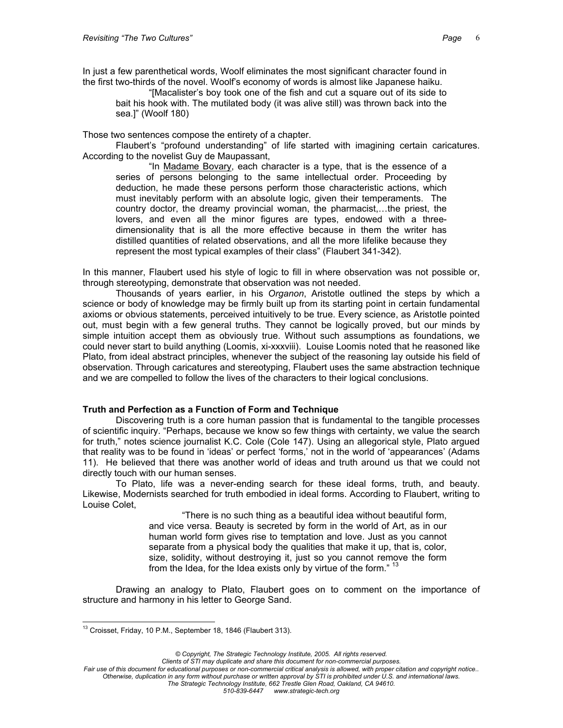In just a few parenthetical words, Woolf eliminates the most significant character found in the first two-thirds of the novel. Woolf's economy of words is almost like Japanese haiku.

"[Macalister's boy took one of the fish and cut a square out of its side to bait his hook with. The mutilated body (it was alive still) was thrown back into the sea.]" (Woolf 180)

Those two sentences compose the entirety of a chapter.

Flaubert's "profound understanding" of life started with imagining certain caricatures. According to the novelist Guy de Maupassant,

"In Madame Bovary, each character is a type, that is the essence of a series of persons belonging to the same intellectual order. Proceeding by deduction, he made these persons perform those characteristic actions, which must inevitably perform with an absolute logic, given their temperaments. The country doctor, the dreamy provincial woman, the pharmacist,…the priest, the lovers, and even all the minor figures are types, endowed with a threedimensionality that is all the more effective because in them the writer has distilled quantities of related observations, and all the more lifelike because they represent the most typical examples of their class" (Flaubert 341-342).

In this manner, Flaubert used his style of logic to fill in where observation was not possible or, through stereotyping, demonstrate that observation was not needed.

Thousands of years earlier, in his *Organon*, Aristotle outlined the steps by which a science or body of knowledge may be firmly built up from its starting point in certain fundamental axioms or obvious statements, perceived intuitively to be true. Every science, as Aristotle pointed out, must begin with a few general truths. They cannot be logically proved, but our minds by simple intuition accept them as obviously true. Without such assumptions as foundations, we could never start to build anything (Loomis, xi-xxxviii). Louise Loomis noted that he reasoned like Plato, from ideal abstract principles, whenever the subject of the reasoning lay outside his field of observation. Through caricatures and stereotyping, Flaubert uses the same abstraction technique and we are compelled to follow the lives of the characters to their logical conclusions.

## **Truth and Perfection as a Function of Form and Technique**

Discovering truth is a core human passion that is fundamental to the tangible processes of scientific inquiry. "Perhaps, because we know so few things with certainty, we value the search for truth," notes science journalist K.C. Cole (Cole 147). Using an allegorical style, Plato argued that reality was to be found in 'ideas' or perfect 'forms,' not in the world of 'appearances' (Adams 11). He believed that there was another world of ideas and truth around us that we could not directly touch with our human senses.

To Plato, life was a never-ending search for these ideal forms, truth, and beauty. Likewise, Modernists searched for truth embodied in ideal forms. According to Flaubert, writing to Louise Colet,

> "There is no such thing as a beautiful idea without beautiful form, and vice versa. Beauty is secreted by form in the world of Art, as in our human world form gives rise to temptation and love. Just as you cannot separate from a physical body the qualities that make it up, that is, color, size, solidity, without destroying it, just so you cannot remove the form from the Idea, for the Idea exists only by virtue of the form."<sup>[13](#page-5-0)</sup>

Drawing an analogy to Plato, Flaubert goes on to comment on the importance of structure and harmony in his letter to George Sand.

*© Copyright, The Strategic Technology Institute, 2005. All rights reserved.*

<span id="page-5-0"></span> $\overline{a}$  $13$  Croisset, Friday, 10 P.M., September 18, 1846 (Flaubert 313).

*Fair use of this document for educational purposes or non-commercial critical analysis is allowed, with proper citation and copyright notice.. Otherwise, duplication in any form without purchase or written approval by STI is prohibited under U.S. and international laws. The Strategic Technology Institute, 662 Trestle Glen Road, Oakland, CA 94610. 510-839-6447 www.strategic-tech.org*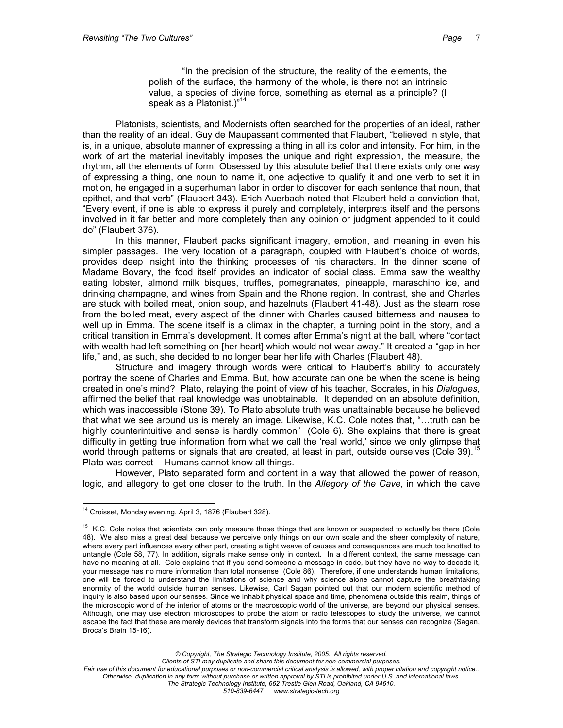"In the precision of the structure, the reality of the elements, the polish of the surface, the harmony of the whole, is there not an intrinsic value, a species of divine force, something as eternal as a principle? (I speak as a Platonist.)"<sup>[14](#page-6-0)</sup>

Platonists, scientists, and Modernists often searched for the properties of an ideal, rather than the reality of an ideal. Guy de Maupassant commented that Flaubert, "believed in style, that is, in a unique, absolute manner of expressing a thing in all its color and intensity. For him, in the work of art the material inevitably imposes the unique and right expression, the measure, the rhythm, all the elements of form. Obsessed by this absolute belief that there exists only one way of expressing a thing, one noun to name it, one adjective to qualify it and one verb to set it in motion, he engaged in a superhuman labor in order to discover for each sentence that noun, that epithet, and that verb" (Flaubert 343). Erich Auerbach noted that Flaubert held a conviction that, "Every event, if one is able to express it purely and completely, interprets itself and the persons involved in it far better and more completely than any opinion or judgment appended to it could do" (Flaubert 376).

In this manner, Flaubert packs significant imagery, emotion, and meaning in even his simpler passages. The very location of a paragraph, coupled with Flaubert's choice of words, provides deep insight into the thinking processes of his characters. In the dinner scene of Madame Bovary, the food itself provides an indicator of social class. Emma saw the wealthy eating lobster, almond milk bisques, truffles, pomegranates, pineapple, maraschino ice, and drinking champagne, and wines from Spain and the Rhone region. In contrast, she and Charles are stuck with boiled meat, onion soup, and hazelnuts (Flaubert 41-48). Just as the steam rose from the boiled meat, every aspect of the dinner with Charles caused bitterness and nausea to well up in Emma. The scene itself is a climax in the chapter, a turning point in the story, and a critical transition in Emma's development. It comes after Emma's night at the ball, where "contact with wealth had left something on [her heart] which would not wear away." It created a "gap in her life," and, as such, she decided to no longer bear her life with Charles (Flaubert 48).

Structure and imagery through words were critical to Flaubert's ability to accurately portray the scene of Charles and Emma. But, how accurate can one be when the scene is being created in one's mind? Plato, relaying the point of view of his teacher, Socrates, in his *Dialogues*, affirmed the belief that real knowledge was unobtainable. It depended on an absolute definition, which was inaccessible (Stone 39). To Plato absolute truth was unattainable because he believed that what we see around us is merely an image. Likewise, K.C. Cole notes that, "…truth can be highly counterintuitive and sense is hardly common" (Cole 6). She explains that there is great difficulty in getting true information from what we call the 'real world,' since we only glimpse that world through patterns or signals that are created, at least in part, outside ourselves (Cole 39).<sup>[15](#page-6-1)</sup> Plato was correct -- Humans cannot know all things.

However, Plato separated form and content in a way that allowed the power of reason, logic, and allegory to get one closer to the truth. In the *Allegory of the Cave*, in which the cave

*© Copyright, The Strategic Technology Institute, 2005. All rights reserved.*

*Clients of STI may duplicate and share this document for non-commercial purposes.*

<span id="page-6-0"></span> $\overline{a}$  $14$  Croisset, Monday evening, April 3, 1876 (Flaubert 328).

<span id="page-6-1"></span><sup>&</sup>lt;sup>15</sup> K.C. Cole notes that scientists can only measure those things that are known or suspected to actually be there (Cole 48). We also miss a great deal because we perceive only things on our own scale and the sheer complexity of nature, where every part influences every other part, creating a tight weave of causes and consequences are much too knotted to untangle (Cole 58, 77). In addition, signals make sense only in context. In a different context, the same message can have no meaning at all. Cole explains that if you send someone a message in code, but they have no way to decode it, your message has no more information than total nonsense (Cole 86). Therefore, if one understands human limitations, one will be forced to understand the limitations of science and why science alone cannot capture the breathtaking enormity of the world outside human senses. Likewise, Carl Sagan pointed out that our modern scientific method of inquiry is also based upon our senses. Since we inhabit physical space and time, phenomena outside this realm, things of the microscopic world of the interior of atoms or the macroscopic world of the universe, are beyond our physical senses. Although, one may use electron microscopes to probe the atom or radio telescopes to study the universe, we cannot escape the fact that these are merely devices that transform signals into the forms that our senses can recognize (Sagan, Broca's Brain 15-16).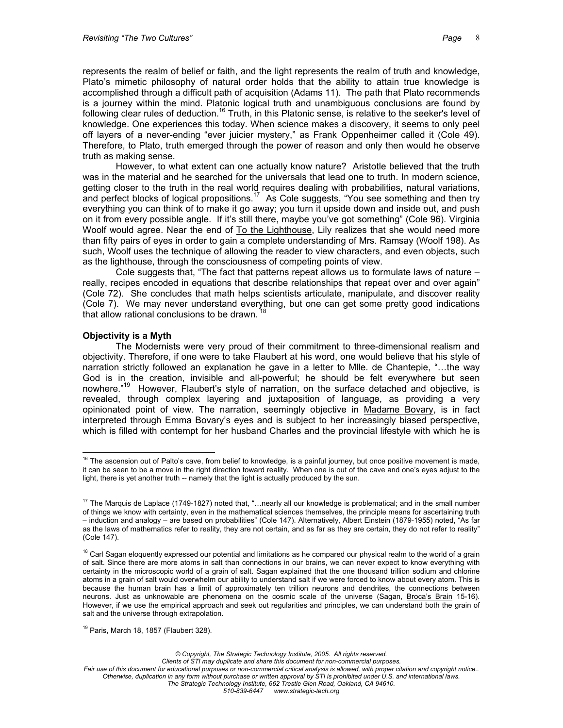represents the realm of belief or faith, and the light represents the realm of truth and knowledge, Plato's mimetic philosophy of natural order holds that the ability to attain true knowledge is accomplished through a difficult path of acquisition (Adams 11). The path that Plato recommends is a journey within the mind. Platonic logical truth and unambiguous conclusions are found by following clear rules of deduction.<sup>16</sup> Truth, in this Platonic sense, is relative to the seeker's level of knowledge. One experiences this today. When science makes a discovery, it seems to only peel off layers of a never-ending "ever juicier mystery," as Frank Oppenheimer called it (Cole 49). Therefore, to Plato, truth emerged through the power of reason and only then would he observe truth as making sense.

However, to what extent can one actually know nature? Aristotle believed that the truth was in the material and he searched for the universals that lead one to truth. In modern science, getting closer to the truth in the real world requires dealing with probabilities, natural variations, and perfect blocks of logical propositions.<sup>17</sup> As Cole suggests, "You see something and then try everything you can think of to make it go away; you turn it upside down and inside out, and push on it from every possible angle. If it's still there, maybe you've got something" (Cole 96). Virginia Woolf would agree. Near the end of To the Lighthouse, Lily realizes that she would need more than fifty pairs of eyes in order to gain a complete understanding of Mrs. Ramsay (Woolf 198). As such, Woolf uses the technique of allowing the reader to view characters, and even objects, such as the lighthouse, through the consciousness of competing points of view.

Cole suggests that, "The fact that patterns repeat allows us to formulate laws of nature – really, recipes encoded in equations that describe relationships that repeat over and over again" (Cole 72). She concludes that math helps scientists articulate, manipulate, and discover reality (Cole 7). We may never understand everything, but one can get some pretty good indications that allow rational conclusions to be drawn.

## **Objectivity is a Myth**

 $\overline{a}$ 

The Modernists were very proud of their commitment to three-dimensional realism and objectivity. Therefore, if one were to take Flaubert at his word, one would believe that his style of narration strictly followed an explanation he gave in a letter to Mlle. de Chantepie, "…the way God is in the creation, invisible and all-powerful; he should be felt everywhere but seen nowhere."<sup>19</sup> However, Flaubert's style of narration, on the surface detached and objective, is revealed, through complex layering and juxtaposition of language, as providing a very opinionated point of view. The narration, seemingly objective in Madame Bovary, is in fact interpreted through Emma Bovary's eyes and is subject to her increasingly biased perspective, which is filled with contempt for her husband Charles and the provincial lifestyle with which he is

<span id="page-7-3"></span> $19$  Paris, March 18, 1857 (Flaubert 328).

*© Copyright, The Strategic Technology Institute, 2005. All rights reserved.*

*Clients of STI may duplicate and share this document for non-commercial purposes.*

<span id="page-7-0"></span> $16$  The ascension out of Palto's cave, from belief to knowledge, is a painful journey, but once positive movement is made, it can be seen to be a move in the right direction toward reality. When one is out of the cave and one's eyes adjust to the light, there is yet another truth -- namely that the light is actually produced by the sun.

<span id="page-7-1"></span> $17$  The Marquis de Laplace (1749-1827) noted that, "... nearly all our knowledge is problematical; and in the small number of things we know with certainty, even in the mathematical sciences themselves, the principle means for ascertaining truth – induction and analogy – are based on probabilities" (Cole 147). Alternatively, Albert Einstein (1879-1955) noted, "As far as the laws of mathematics refer to reality, they are not certain, and as far as they are certain, they do not refer to reality" (Cole 147).

<span id="page-7-2"></span><sup>&</sup>lt;sup>18</sup> Carl Sagan eloquently expressed our potential and limitations as he compared our physical realm to the world of a grain of salt. Since there are more atoms in salt than connections in our brains, we can never expect to know everything with certainty in the microscopic world of a grain of salt. Sagan explained that the one thousand trillion sodium and chlorine atoms in a grain of salt would overwhelm our ability to understand salt if we were forced to know about every atom. This is because the human brain has a limit of approximately ten trillion neurons and dendrites, the connections between neurons. Just as unknowable are phenomena on the cosmic scale of the universe (Sagan, Broca's Brain 15-16). However, if we use the empirical approach and seek out regularities and principles, we can understand both the grain of salt and the universe through extrapolation.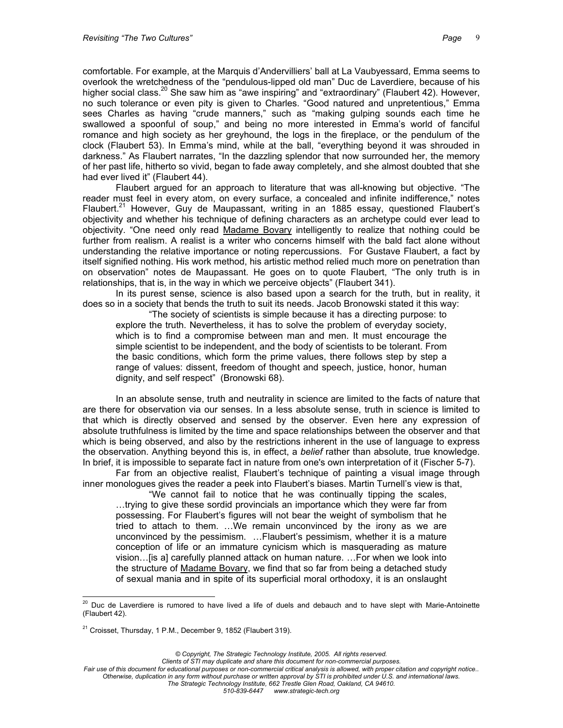comfortable. For example, at the Marquis d'Andervilliers' ball at La Vaubyessard, Emma seems to overlook the wretchedness of the "pendulous-lipped old man" Duc de Laverdiere, because of his higher social class.<sup>20</sup> She saw him as "awe inspiring" and "extraordinary" (Flaubert 42). However, no such tolerance or even pity is given to Charles. "Good natured and unpretentious," Emma sees Charles as having "crude manners," such as "making gulping sounds each time he swallowed a spoonful of soup," and being no more interested in Emma's world of fanciful romance and high society as her greyhound, the logs in the fireplace, or the pendulum of the clock (Flaubert 53). In Emma's mind, while at the ball, "everything beyond it was shrouded in darkness." As Flaubert narrates, "In the dazzling splendor that now surrounded her, the memory of her past life, hitherto so vivid, began to fade away completely, and she almost doubted that she had ever lived it" (Flaubert 44).

Flaubert argued for an approach to literature that was all-knowing but objective. "The reader must feel in every atom, on every surface, a concealed and infinite indifference," notes Flaubert.<sup>21</sup> However, Guy de Maupassant, writing in an 1885 essay, questioned Flaubert's objectivity and whether his technique of defining characters as an archetype could ever lead to objectivity. "One need only read Madame Bovary intelligently to realize that nothing could be further from realism. A realist is a writer who concerns himself with the bald fact alone without understanding the relative importance or noting repercussions. For Gustave Flaubert, a fact by itself signified nothing. His work method, his artistic method relied much more on penetration than on observation" notes de Maupassant. He goes on to quote Flaubert, "The only truth is in relationships, that is, in the way in which we perceive objects" (Flaubert 341).

In its purest sense, science is also based upon a search for the truth, but in reality, it does so in a society that bends the truth to suit its needs. Jacob Bronowski stated it this way:

"The society of scientists is simple because it has a directing purpose: to explore the truth. Nevertheless, it has to solve the problem of everyday society, which is to find a compromise between man and men. It must encourage the simple scientist to be independent, and the body of scientists to be tolerant. From the basic conditions, which form the prime values, there follows step by step a range of values: dissent, freedom of thought and speech, justice, honor, human dignity, and self respect" (Bronowski 68).

In an absolute sense, truth and neutrality in science are limited to the facts of nature that are there for observation via our senses. In a less absolute sense, truth in science is limited to that which is directly observed and sensed by the observer. Even here any expression of absolute truthfulness is limited by the time and space relationships between the observer and that which is being observed, and also by the restrictions inherent in the use of language to express the observation. Anything beyond this is, in effect, a *belief* rather than absolute, true knowledge. In brief, it is impossible to separate fact in nature from one's own interpretation of it (Fischer 5-7).

Far from an objective realist, Flaubert's technique of painting a visual image through inner monologues gives the reader a peek into Flaubert's biases. Martin Turnell's view is that,

"We cannot fail to notice that he was continually tipping the scales, …trying to give these sordid provincials an importance which they were far from possessing. For Flaubert's figures will not bear the weight of symbolism that he tried to attach to them. …We remain unconvinced by the irony as we are unconvinced by the pessimism. …Flaubert's pessimism, whether it is a mature conception of life or an immature cynicism which is masquerading as mature vision…[is a] carefully planned attack on human nature. …For when we look into the structure of Madame Bovary, we find that so far from being a detached study of sexual mania and in spite of its superficial moral orthodoxy, it is an onslaught

*© Copyright, The Strategic Technology Institute, 2005. All rights reserved.*

*Clients of STI may duplicate and share this document for non-commercial purposes.*

<span id="page-8-0"></span> $\overline{a}$  $^{20}$  Duc de Laverdiere is rumored to have lived a life of duels and debauch and to have slept with Marie-Antoinette (Flaubert 42).

<span id="page-8-1"></span><sup>&</sup>lt;sup>21</sup> Croisset, Thursday, 1 P.M., December 9, 1852 (Flaubert 319).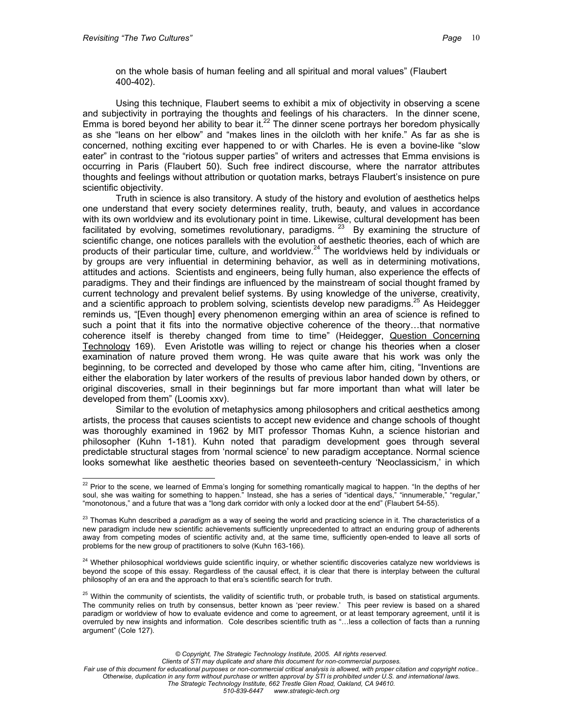on the whole basis of human feeling and all spiritual and moral values" (Flaubert 400-402).

Using this technique, Flaubert seems to exhibit a mix of objectivity in observing a scene and subjectivity in portraying the thoughts and feelings of his characters. In the dinner scene, Emma is bored beyond her ability to bear it. $^{22}$  The dinner scene portrays her boredom physically as she "leans on her elbow" and "makes lines in the oilcloth with her knife." As far as she is concerned, nothing exciting ever happened to or with Charles. He is even a bovine-like "slow eater" in contrast to the "riotous supper parties" of writers and actresses that Emma envisions is occurring in Paris (Flaubert 50). Such free indirect discourse, where the narrator attributes thoughts and feelings without attribution or quotation marks, betrays Flaubert's insistence on pure scientific objectivity.

Truth in science is also transitory. A study of the history and evolution of aesthetics helps one understand that every society determines reality, truth, beauty, and values in accordance with its own worldview and its evolutionary point in time. Likewise, cultural development has been facilitated by evolving, sometimes revolutionary, paradigms.  $23$  By examining the structure of scientific change, one notices parallels with the evolution of aesthetic theories, each of which are products of their particular time, culture, and worldview.<sup>24</sup> The worldviews held by individuals or by groups are very influential in determining behavior, as well as in determining motivations, attitudes and actions. Scientists and engineers, being fully human, also experience the effects of paradigms. They and their findings are influenced by the mainstream of social thought framed by current technology and prevalent belief systems. By using knowledge of the universe, creativity, and a scientific approach to problem solving, scientists develop new paradigms.<sup>25</sup> As Heidegger reminds us, "[Even though] every phenomenon emerging within an area of science is refined to such a point that it fits into the normative objective coherence of the theory…that normative coherence itself is thereby changed from time to time" (Heidegger, Question Concerning Technology 169). Even Aristotle was willing to reject or change his theories when a closer examination of nature proved them wrong. He was quite aware that his work was only the beginning, to be corrected and developed by those who came after him, citing, "Inventions are either the elaboration by later workers of the results of previous labor handed down by others, or original discoveries, small in their beginnings but far more important than what will later be developed from them" (Loomis xxv).

Similar to the evolution of metaphysics among philosophers and critical aesthetics among artists, the process that causes scientists to accept new evidence and change schools of thought was thoroughly examined in 1962 by MIT professor Thomas Kuhn, a science historian and philosopher (Kuhn 1-181). Kuhn noted that paradigm development goes through several predictable structural stages from 'normal science' to new paradigm acceptance. Normal science looks somewhat like aesthetic theories based on seventeeth-century 'Neoclassicism,' in which

*© Copyright, The Strategic Technology Institute, 2005. All rights reserved.*

<span id="page-9-0"></span> $\overline{a}$  $22$  Prior to the scene, we learned of Emma's longing for something romantically magical to happen. "In the depths of her soul, she was waiting for something to happen." Instead, she has a series of "identical days," "innumerable," "regular," "monotonous," and a future that was a "long dark corridor with only a locked door at the end" (Flaubert 54-55).

<span id="page-9-1"></span><sup>23</sup> Thomas Kuhn described a *paradigm* as a way of seeing the world and practicing science in it. The characteristics of a new paradigm include new scientific achievements sufficiently unprecedented to attract an enduring group of adherents away from competing modes of scientific activity and, at the same time, sufficiently open-ended to leave all sorts of problems for the new group of practitioners to solve (Kuhn 163-166).

<span id="page-9-2"></span><sup>&</sup>lt;sup>24</sup> Whether philosophical worldviews guide scientific inquiry, or whether scientific discoveries catalyze new worldviews is beyond the scope of this essay. Regardless of the causal effect, it is clear that there is interplay between the cultural philosophy of an era and the approach to that era's scientific search for truth.

<span id="page-9-3"></span><sup>&</sup>lt;sup>25</sup> Within the community of scientists, the validity of scientific truth, or probable truth, is based on statistical arguments. The community relies on truth by consensus, better known as 'peer review.' This peer review is based on a shared paradigm or worldview of how to evaluate evidence and come to agreement, or at least temporary agreement, until it is overruled by new insights and information. Cole describes scientific truth as "…less a collection of facts than a running argument" (Cole 127).

*Fair use of this document for educational purposes or non-commercial critical analysis is allowed, with proper citation and copyright notice.. Otherwise, duplication in any form without purchase or written approval by STI is prohibited under U.S. and international laws. The Strategic Technology Institute, 662 Trestle Glen Road, Oakland, CA 94610. 510-839-6447 www.strategic-tech.org*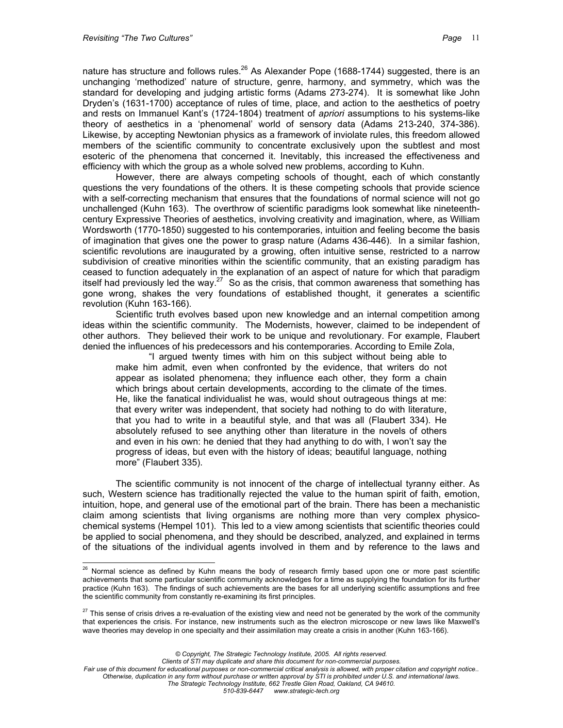nature has structure and follows rules.<sup>26</sup> As Alexander Pope (1688-1744) suggested, there is an unchanging 'methodized' nature of structure, genre, harmony, and symmetry, which was the standard for developing and judging artistic forms (Adams 273-274). It is somewhat like John Dryden's (1631-1700) acceptance of rules of time, place, and action to the aesthetics of poetry and rests on Immanuel Kant's (1724-1804) treatment of *apriori* assumptions to his systems-like theory of aesthetics in a 'phenomenal' world of sensory data (Adams 213-240, 374-386). Likewise, by accepting Newtonian physics as a framework of inviolate rules, this freedom allowed members of the scientific community to concentrate exclusively upon the subtlest and most esoteric of the phenomena that concerned it. Inevitably, this increased the effectiveness and efficiency with which the group as a whole solved new problems, according to Kuhn.

However, there are always competing schools of thought, each of which constantly questions the very foundations of the others. It is these competing schools that provide science with a self-correcting mechanism that ensures that the foundations of normal science will not go unchallenged (Kuhn 163). The overthrow of scientific paradigms look somewhat like nineteenthcentury Expressive Theories of aesthetics, involving creativity and imagination, where, as William Wordsworth (1770-1850) suggested to his contemporaries, intuition and feeling become the basis of imagination that gives one the power to grasp nature (Adams 436-446). In a similar fashion, scientific revolutions are inaugurated by a growing, often intuitive sense, restricted to a narrow subdivision of creative minorities within the scientific community, that an existing paradigm has ceased to function adequately in the explanation of an aspect of nature for which that paradigm itself had previously led the way.<sup>27</sup> So as the crisis, that common awareness that something has gone wrong, shakes the very foundations of established thought, it generates a scientific revolution (Kuhn 163-166).

Scientific truth evolves based upon new knowledge and an internal competition among ideas within the scientific community. The Modernists, however, claimed to be independent of other authors. They believed their work to be unique and revolutionary. For example, Flaubert denied the influences of his predecessors and his contemporaries. According to Emile Zola,

"I argued twenty times with him on this subject without being able to make him admit, even when confronted by the evidence, that writers do not appear as isolated phenomena; they influence each other, they form a chain which brings about certain developments, according to the climate of the times. He, like the fanatical individualist he was, would shout outrageous things at me: that every writer was independent, that society had nothing to do with literature, that you had to write in a beautiful style, and that was all (Flaubert 334). He absolutely refused to see anything other than literature in the novels of others and even in his own: he denied that they had anything to do with, I won't say the progress of ideas, but even with the history of ideas; beautiful language, nothing more" (Flaubert 335).

The scientific community is not innocent of the charge of intellectual tyranny either. As such, Western science has traditionally rejected the value to the human spirit of faith, emotion, intuition, hope, and general use of the emotional part of the brain. There has been a mechanistic claim among scientists that living organisms are nothing more than very complex physicochemical systems (Hempel 101). This led to a view among scientists that scientific theories could be applied to social phenomena, and they should be described, analyzed, and explained in terms of the situations of the individual agents involved in them and by reference to the laws and

*Clients of STI may duplicate and share this document for non-commercial purposes.*

<span id="page-10-0"></span> $\overline{a}$  $^{26}$  Normal science as defined by Kuhn means the body of research firmly based upon one or more past scientific achievements that some particular scientific community acknowledges for a time as supplying the foundation for its further practice (Kuhn 163). The findings of such achievements are the bases for all underlying scientific assumptions and free the scientific community from constantly re-examining its first principles.

<span id="page-10-1"></span><sup>&</sup>lt;sup>27</sup> This sense of crisis drives a re-evaluation of the existing view and need not be generated by the work of the community that experiences the crisis. For instance, new instruments such as the electron microscope or new laws like Maxwell's wave theories may develop in one specialty and their assimilation may create a crisis in another (Kuhn 163-166).

*<sup>©</sup> Copyright, The Strategic Technology Institute, 2005. All rights reserved.*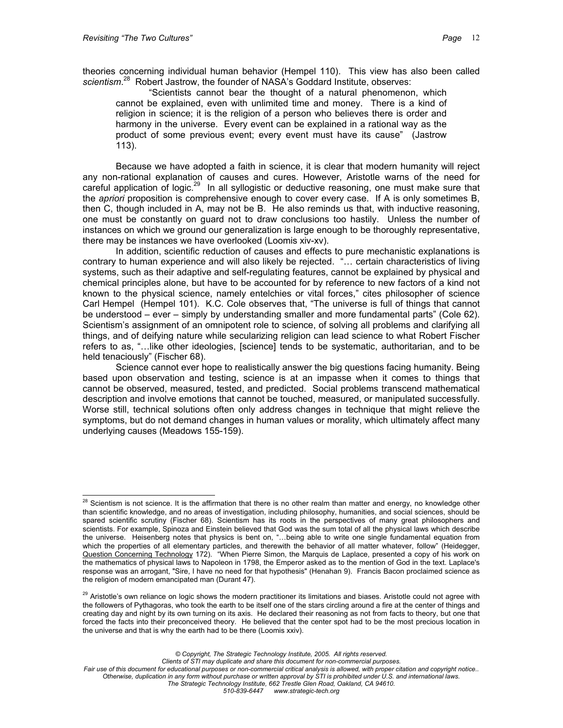theories concerning individual human behavior (Hempel 110). This view has also been called *scientism*. [28](#page-11-0) Robert Jastrow, the founder of NASA's Goddard Institute, observes:

"Scientists cannot bear the thought of a natural phenomenon, which cannot be explained, even with unlimited time and money. There is a kind of religion in science; it is the religion of a person who believes there is order and harmony in the universe. Every event can be explained in a rational way as the product of some previous event; every event must have its cause" (Jastrow 113).

Because we have adopted a faith in science, it is clear that modern humanity will reject any non-rational explanation of causes and cures. However, Aristotle warns of the need for careful application of logic.<sup>29</sup> In all syllogistic or deductive reasoning, one must make sure that the *apriori* proposition is comprehensive enough to cover every case. If A is only sometimes B, then C, though included in A, may not be B. He also reminds us that, with inductive reasoning, one must be constantly on guard not to draw conclusions too hastily. Unless the number of instances on which we ground our generalization is large enough to be thoroughly representative, there may be instances we have overlooked (Loomis xiv-xv).

In addition, scientific reduction of causes and effects to pure mechanistic explanations is contrary to human experience and will also likely be rejected. "… certain characteristics of living systems, such as their adaptive and self-regulating features, cannot be explained by physical and chemical principles alone, but have to be accounted for by reference to new factors of a kind not known to the physical science, namely entelchies or vital forces," cites philosopher of science Carl Hempel (Hempel 101). K.C. Cole observes that, "The universe is full of things that cannot be understood – ever – simply by understanding smaller and more fundamental parts" (Cole 62). Scientism's assignment of an omnipotent role to science, of solving all problems and clarifying all things, and of deifying nature while secularizing religion can lead science to what Robert Fischer refers to as, "…like other ideologies, [science] tends to be systematic, authoritarian, and to be held tenaciously" (Fischer 68).

Science cannot ever hope to realistically answer the big questions facing humanity. Being based upon observation and testing, science is at an impasse when it comes to things that cannot be observed, measured, tested, and predicted. Social problems transcend mathematical description and involve emotions that cannot be touched, measured, or manipulated successfully. Worse still, technical solutions often only address changes in technique that might relieve the symptoms, but do not demand changes in human values or morality, which ultimately affect many underlying causes (Meadows 155-159).

*© Copyright, The Strategic Technology Institute, 2005. All rights reserved.*

*Clients of STI may duplicate and share this document for non-commercial purposes.*

<span id="page-11-0"></span> $\overline{a}$  $^{28}$  Scientism is not science. It is the affirmation that there is no other realm than matter and energy, no knowledge other than scientific knowledge, and no areas of investigation, including philosophy, humanities, and social sciences, should be spared scientific scrutiny (Fischer 68). Scientism has its roots in the perspectives of many great philosophers and scientists. For example, Spinoza and Einstein believed that God was the sum total of all the physical laws which describe the universe. Heisenberg notes that physics is bent on, "…being able to write one single fundamental equation from which the properties of all elementary particles, and therewith the behavior of all matter whatever, follow" (Heidegger, Question Concerning Technology 172). "When Pierre Simon, the Marquis de Laplace, presented a copy of his work on the mathematics of physical laws to Napoleon in 1798, the Emperor asked as to the mention of God in the text. Laplace's response was an arrogant, "Sire, I have no need for that hypothesis" (Henahan 9). Francis Bacon proclaimed science as the religion of modern emancipated man (Durant 47).

<span id="page-11-1"></span><sup>&</sup>lt;sup>29</sup> Aristotle's own reliance on logic shows the modern practitioner its limitations and biases. Aristotle could not agree with the followers of Pythagoras, who took the earth to be itself one of the stars circling around a fire at the center of things and creating day and night by its own turning on its axis. He declared their reasoning as not from facts to theory, but one that forced the facts into their preconceived theory. He believed that the center spot had to be the most precious location in the universe and that is why the earth had to be there (Loomis xxiv).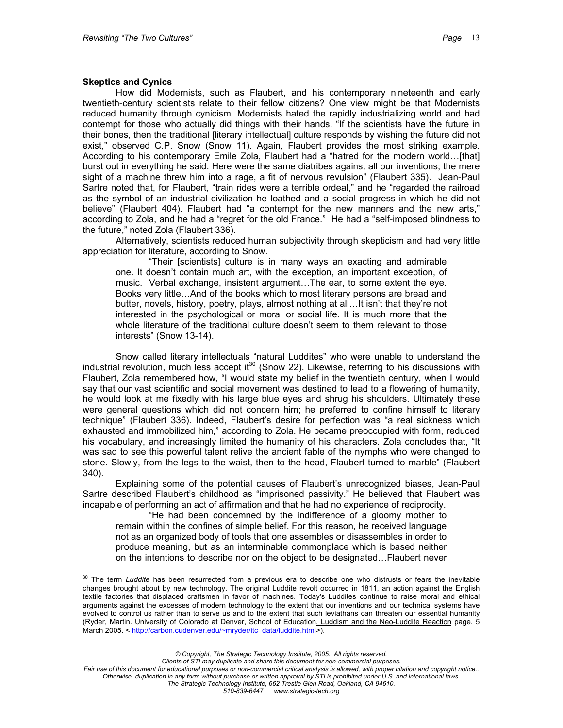## **Skeptics and Cynics**

 $\overline{a}$ 

How did Modernists, such as Flaubert, and his contemporary nineteenth and early twentieth-century scientists relate to their fellow citizens? One view might be that Modernists reduced humanity through cynicism. Modernists hated the rapidly industrializing world and had contempt for those who actually did things with their hands. "If the scientists have the future in their bones, then the traditional [literary intellectual] culture responds by wishing the future did not exist," observed C.P. Snow (Snow 11). Again, Flaubert provides the most striking example. According to his contemporary Emile Zola, Flaubert had a "hatred for the modern world…[that] burst out in everything he said. Here were the same diatribes against all our inventions; the mere sight of a machine threw him into a rage, a fit of nervous revulsion" (Flaubert 335). Jean-Paul Sartre noted that, for Flaubert, "train rides were a terrible ordeal," and he "regarded the railroad as the symbol of an industrial civilization he loathed and a social progress in which he did not believe" (Flaubert 404). Flaubert had "a contempt for the new manners and the new arts," according to Zola, and he had a "regret for the old France." He had a "self-imposed blindness to the future," noted Zola (Flaubert 336).

Alternatively, scientists reduced human subjectivity through skepticism and had very little appreciation for literature, according to Snow.

"Their [scientists] culture is in many ways an exacting and admirable one. It doesn't contain much art, with the exception, an important exception, of music. Verbal exchange, insistent argument…The ear, to some extent the eye. Books very little…And of the books which to most literary persons are bread and butter, novels, history, poetry, plays, almost nothing at all…It isn't that they're not interested in the psychological or moral or social life. It is much more that the whole literature of the traditional culture doesn't seem to them relevant to those interests" (Snow 13-14).

Snow called literary intellectuals "natural Luddites" who were unable to understand the industrial revolution, much less accept it<sup>30</sup> (Snow 22). Likewise, referring to his discussions with Flaubert, Zola remembered how, "I would state my belief in the twentieth century, when I would say that our vast scientific and social movement was destined to lead to a flowering of humanity, he would look at me fixedly with his large blue eyes and shrug his shoulders. Ultimately these were general questions which did not concern him; he preferred to confine himself to literary technique" (Flaubert 336). Indeed, Flaubert's desire for perfection was "a real sickness which exhausted and immobilized him," according to Zola. He became preoccupied with form, reduced his vocabulary, and increasingly limited the humanity of his characters. Zola concludes that, "It was sad to see this powerful talent relive the ancient fable of the nymphs who were changed to stone. Slowly, from the legs to the waist, then to the head, Flaubert turned to marble" (Flaubert 340).

Explaining some of the potential causes of Flaubert's unrecognized biases, Jean-Paul Sartre described Flaubert's childhood as "imprisoned passivity." He believed that Flaubert was incapable of performing an act of affirmation and that he had no experience of reciprocity.

"He had been condemned by the indifference of a gloomy mother to remain within the confines of simple belief. For this reason, he received language not as an organized body of tools that one assembles or disassembles in order to produce meaning, but as an interminable commonplace which is based neither on the intentions to describe nor on the object to be designated…Flaubert never

<span id="page-12-0"></span><sup>&</sup>lt;sup>30</sup> The term *Luddite* has been resurrected from a previous era to describe one who distrusts or fears the inevitable changes brought about by new technology. The original Luddite revolt occurred in 1811, an action against the English textile factories that displaced craftsmen in favor of machines. Today's Luddites continue to raise moral and ethical arguments against the excesses of modern technology to the extent that our inventions and our technical systems have evolved to control us rather than to serve us and to the extent that such leviathans can threaten our essential humanity (Ryder, Martin. University of Colorado at Denver, School of Education. Luddism and the Neo-Luddite Reaction page. 5 March 2005. < http://carbon.cudenver.edu/~mryder/itc\_data/luddite.html>).

*<sup>©</sup> Copyright, The Strategic Technology Institute, 2005. All rights reserved.*

*Clients of STI may duplicate and share this document for non-commercial purposes.*

*Fair use of this document for educational purposes or non-commercial critical analysis is allowed, with proper citation and copyright notice.. Otherwise, duplication in any form without purchase or written approval by STI is prohibited under U.S. and international laws. The Strategic Technology Institute, 662 Trestle Glen Road, Oakland, CA 94610.*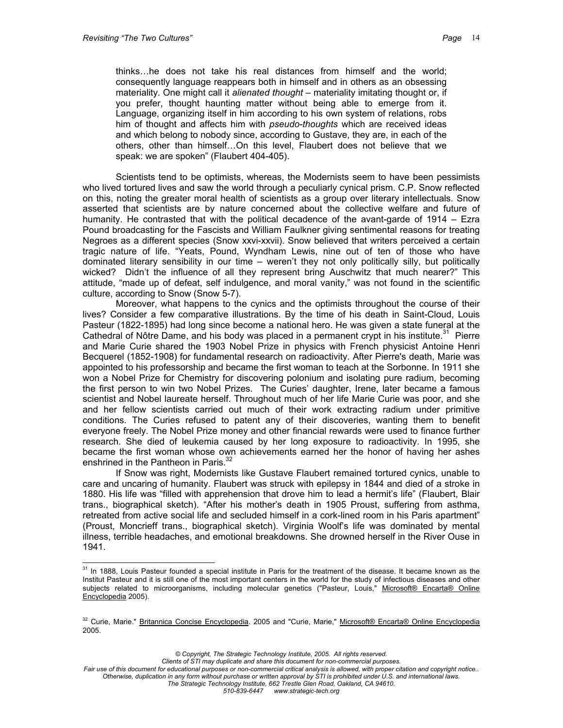$\overline{a}$ 

thinks…he does not take his real distances from himself and the world; consequently language reappears both in himself and in others as an obsessing materiality. One might call it *alienated thought* – materiality imitating thought or, if you prefer, thought haunting matter without being able to emerge from it. Language, organizing itself in him according to his own system of relations, robs him of thought and affects him with *pseudo-thoughts* which are received ideas and which belong to nobody since, according to Gustave, they are, in each of the others, other than himself…On this level, Flaubert does not believe that we speak: we are spoken" (Flaubert 404-405).

Scientists tend to be optimists, whereas, the Modernists seem to have been pessimists who lived tortured lives and saw the world through a peculiarly cynical prism. C.P. Snow reflected on this, noting the greater moral health of scientists as a group over literary intellectuals. Snow asserted that scientists are by nature concerned about the collective welfare and future of humanity. He contrasted that with the political decadence of the avant-garde of 1914 – Ezra Pound broadcasting for the Fascists and William Faulkner giving sentimental reasons for treating Negroes as a different species (Snow xxvi-xxvii). Snow believed that writers perceived a certain tragic nature of life. "Yeats, Pound, Wyndham Lewis, nine out of ten of those who have dominated literary sensibility in our time – weren't they not only politically silly, but politically wicked? Didn't the influence of all they represent bring Auschwitz that much nearer?" This attitude, "made up of defeat, self indulgence, and moral vanity," was not found in the scientific culture, according to Snow (Snow 5-7).

Moreover, what happens to the cynics and the optimists throughout the course of their lives? Consider a few comparative illustrations. By the time of his death in Saint-Cloud, Louis Pasteur (1822-1895) had long since become a national hero. He was given a state funeral at the Cathedral of Nôtre Dame, and his body was placed in a permanent crypt in his institute.<sup>31</sup> Pierre and Marie Curie shared the 1903 Nobel Prize in physics with French physicist Antoine Henri Becquerel (1852-1908) for fundamental research on radioactivity. After Pierre's death, Marie was appointed to his professorship and became the first woman to teach at the Sorbonne. In 1911 she won a Nobel Prize for Chemistry for discovering polonium and isolating pure radium, becoming the first person to win two Nobel Prizes. The Curies' daughter, Irene, later became a famous scientist and Nobel laureate herself. Throughout much of her life Marie Curie was poor, and she and her fellow scientists carried out much of their work extracting radium under primitive conditions. The Curies refused to patent any of their discoveries, wanting them to benefit everyone freely. The Nobel Prize money and other financial rewards were used to finance further research. She died of leukemia caused by her long exposure to radioactivity. In 1995, she became the first woman whose own achievements earned her the honor of having her ashes enshrined in the Pantheon in Paris.<sup>[32](#page-13-1)</sup>

If Snow was right, Modernists like Gustave Flaubert remained tortured cynics, unable to care and uncaring of humanity. Flaubert was struck with epilepsy in 1844 and died of a stroke in 1880. His life was "filled with apprehension that drove him to lead a hermit's life" (Flaubert, Blair trans., biographical sketch). "After his mother's death in 1905 Proust, suffering from asthma, retreated from active social life and secluded himself in a cork-lined room in his Paris apartment" (Proust, Moncrieff trans., biographical sketch). Virginia Woolf's life was dominated by mental illness, terrible headaches, and emotional breakdowns. She drowned herself in the River Ouse in 1941.

<span id="page-13-0"></span> $31$  In 1888, Louis Pasteur founded a special institute in Paris for the treatment of the disease. It became known as the Institut Pasteur and it is still one of the most important centers in the world for the study of infectious diseases and other subjects related to microorganisms, including molecular genetics ("Pasteur, Louis," Microsoft® Encarta® Online Encyclopedia 2005).

<span id="page-13-1"></span><sup>32</sup> Curie, Marie." Britannica Concise Encyclopedia. 2005 and "Curie, Marie," Microsoft® Encarta® Online Encyclopedia 2005.

*<sup>©</sup> Copyright, The Strategic Technology Institute, 2005. All rights reserved.*

*Fair use of this document for educational purposes or non-commercial critical analysis is allowed, with proper citation and copyright notice.. Otherwise, duplication in any form without purchase or written approval by STI is prohibited under U.S. and international laws.*

*The Strategic Technology Institute, 662 Trestle Glen Road, Oakland, CA 94610.*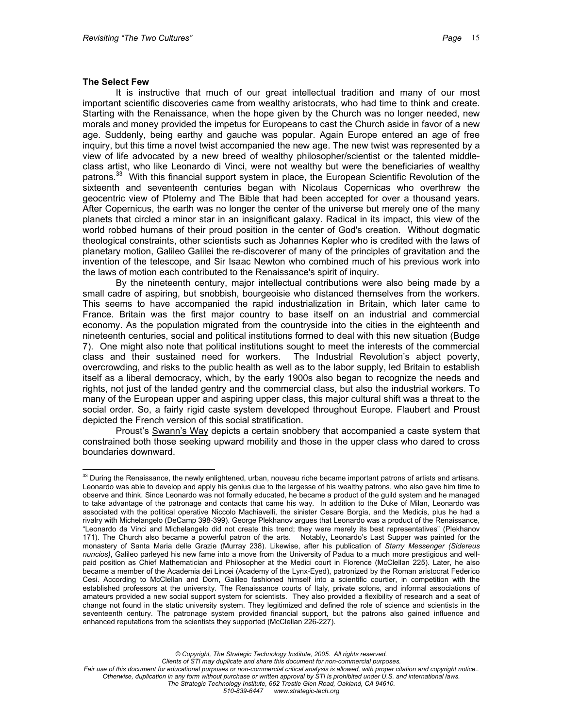#### **The Select Few**

 $\overline{a}$ 

It is instructive that much of our great intellectual tradition and many of our most important scientific discoveries came from wealthy aristocrats, who had time to think and create. Starting with the Renaissance, when the hope given by the Church was no longer needed, new morals and money provided the impetus for Europeans to cast the Church aside in favor of a new age. Suddenly, being earthy and gauche was popular. Again Europe entered an age of free inquiry, but this time a novel twist accompanied the new age. The new twist was represented by a view of life advocated by a new breed of wealthy philosopher/scientist or the talented middleclass artist, who like Leonardo di Vinci, were not wealthy but were the beneficiaries of wealthy patrons.<sup>33</sup> With this financial support system in place, the European Scientific Revolution of the sixteenth and seventeenth centuries began with Nicolaus Copernicas who overthrew the geocentric view of Ptolemy and The Bible that had been accepted for over a thousand years. After Copernicus, the earth was no longer the center of the universe but merely one of the many planets that circled a minor star in an insignificant galaxy. Radical in its impact, this view of the world robbed humans of their proud position in the center of God's creation. Without dogmatic theological constraints, other scientists such as Johannes Kepler who is credited with the laws of planetary motion, Galileo Galilei the re-discoverer of many of the principles of gravitation and the invention of the telescope, and Sir Isaac Newton who combined much of his previous work into the laws of motion each contributed to the Renaissance's spirit of inquiry.

By the nineteenth century, major intellectual contributions were also being made by a small cadre of aspiring, but snobbish, bourgeoisie who distanced themselves from the workers. This seems to have accompanied the rapid industrialization in Britain, which later came to France. Britain was the first major country to base itself on an industrial and commercial economy. As the population migrated from the countryside into the cities in the eighteenth and nineteenth centuries, social and political institutions formed to deal with this new situation (Budge 7). One might also note that political institutions sought to meet the interests of the commercial class and their sustained need for workers. The Industrial Revolution's abject poverty, overcrowding, and risks to the public health as well as to the labor supply, led Britain to establish itself as a liberal democracy, which, by the early 1900s also began to recognize the needs and rights, not just of the landed gentry and the commercial class, but also the industrial workers. To many of the European upper and aspiring upper class, this major cultural shift was a threat to the social order. So, a fairly rigid caste system developed throughout Europe. Flaubert and Proust depicted the French version of this social stratification.

Proust's Swann's Way depicts a certain snobbery that accompanied a caste system that constrained both those seeking upward mobility and those in the upper class who dared to cross boundaries downward.

*© Copyright, The Strategic Technology Institute, 2005. All rights reserved.*

*Clients of STI may duplicate and share this document for non-commercial purposes.*

<span id="page-14-0"></span> $33$  During the Renaissance, the newly enlightened, urban, nouveau riche became important patrons of artists and artisans. Leonardo was able to develop and apply his genius due to the largesse of his wealthy patrons, who also gave him time to observe and think. Since Leonardo was not formally educated, he became a product of the guild system and he managed to take advantage of the patronage and contacts that came his way. In addition to the Duke of Milan, Leonardo was associated with the political operative Niccolo Machiavelli, the sinister Cesare Borgia, and the Medicis, plus he had a rivalry with Michelangelo (DeCamp 398-399). George Plekhanov argues that Leonardo was a product of the Renaissance, "Leonardo da Vinci and Michelangelo did not create this trend; they were merely its best representatives" (Plekhanov 171). The Church also became a powerful patron of the arts. Notably, Leonardo's Last Supper was painted for the monastery of Santa Maria delle Grazie (Murray 238). Likewise, after his publication of *Starry Messenger (Sidereus nuncios)*, Galileo parleyed his new fame into a move from the University of Padua to a much more prestigious and wellpaid position as Chief Mathematician and Philosopher at the Medici court in Florence (McClellan 225). Later, he also became a member of the Academia dei Lincei (Academy of the Lynx-Eyed), patronized by the Roman aristocrat Federico Cesi. According to McClellan and Dorn, Galileo fashioned himself into a scientific courtier, in competition with the established professors at the university. The Renaissance courts of Italy, private solons, and informal associations of amateurs provided a new social support system for scientists. They also provided a flexibility of research and a seat of change not found in the static university system. They legitimized and defined the role of science and scientists in the seventeenth century. The patronage system provided financial support, but the patrons also gained influence and enhanced reputations from the scientists they supported (McClellan 226-227).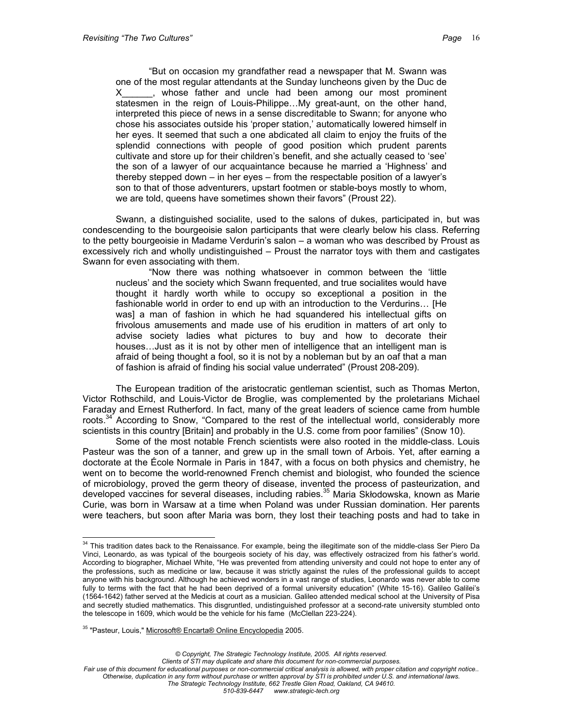"But on occasion my grandfather read a newspaper that M. Swann was one of the most regular attendants at the Sunday luncheons given by the Duc de X\_\_\_\_\_\_, whose father and uncle had been among our most prominent statesmen in the reign of Louis-Philippe…My great-aunt, on the other hand, interpreted this piece of news in a sense discreditable to Swann; for anyone who chose his associates outside his 'proper station,' automatically lowered himself in her eyes. It seemed that such a one abdicated all claim to enjoy the fruits of the splendid connections with people of good position which prudent parents cultivate and store up for their children's benefit, and she actually ceased to 'see' the son of a lawyer of our acquaintance because he married a 'Highness' and thereby stepped down – in her eyes – from the respectable position of a lawyer's son to that of those adventurers, upstart footmen or stable-boys mostly to whom, we are told, queens have sometimes shown their favors" (Proust 22).

Swann, a distinguished socialite, used to the salons of dukes, participated in, but was condescending to the bourgeoisie salon participants that were clearly below his class. Referring to the petty bourgeoisie in Madame Verdurin's salon – a woman who was described by Proust as excessively rich and wholly undistinguished – Proust the narrator toys with them and castigates Swann for even associating with them.

"Now there was nothing whatsoever in common between the 'little nucleus' and the society which Swann frequented, and true socialites would have thought it hardly worth while to occupy so exceptional a position in the fashionable world in order to end up with an introduction to the Verdurins… [He was] a man of fashion in which he had squandered his intellectual gifts on frivolous amusements and made use of his erudition in matters of art only to advise society ladies what pictures to buy and how to decorate their houses…Just as it is not by other men of intelligence that an intelligent man is afraid of being thought a fool, so it is not by a nobleman but by an oaf that a man of fashion is afraid of finding his social value underrated" (Proust 208-209).

The European tradition of the aristocratic gentleman scientist, such as Thomas Merton, Victor Rothschild, and Louis-Victor de Broglie, was complemented by the proletarians Michael Faraday and Ernest Rutherford. In fact, many of the great leaders of science came from humble roots.<sup>34</sup> According to Snow, "Compared to the rest of the intellectual world, considerably more scientists in this country [Britain] and probably in the U.S. come from poor families" (Snow 10).

Some of the most notable French scientists were also rooted in the middle-class. Louis Pasteur was the son of a tanner, and grew up in the small town of Arbois. Yet, after earning a doctorate at the École Normale in Paris in 1847, with a focus on both physics and chemistry, he went on to become the world-renowned French chemist and biologist, who founded the science of microbiology, proved the germ theory of disease, invented the process of pasteurization, and developed vaccines for several diseases, including rabies.<sup>35</sup> Maria Skłodowska, known as Marie Curie, was born in Warsaw at a time when Poland was under Russian domination. Her parents were teachers, but soon after Maria was born, they lost their teaching posts and had to take in

<span id="page-15-1"></span><sup>35</sup> "Pasteur, Louis," Microsoft® Encarta® Online Encyclopedia 2005.

 $\overline{a}$ 

<span id="page-15-0"></span> $34$  This tradition dates back to the Renaissance. For example, being the illegitimate son of the middle-class Ser Piero Da Vinci, Leonardo, as was typical of the bourgeois society of his day, was effectively ostracized from his father's world. According to biographer, Michael White, "He was prevented from attending university and could not hope to enter any of the professions, such as medicine or law, because it was strictly against the rules of the professional guilds to accept anyone with his background. Although he achieved wonders in a vast range of studies, Leonardo was never able to come fully to terms with the fact that he had been deprived of a formal university education" (White 15-16). Galileo Galilei's (1564-1642) father served at the Medicis at court as a musician. Galileo attended medical school at the University of Pisa and secretly studied mathematics. This disgruntled, undistinguished professor at a second-rate university stumbled onto the telescope in 1609, which would be the vehicle for his fame (McClellan 223-224).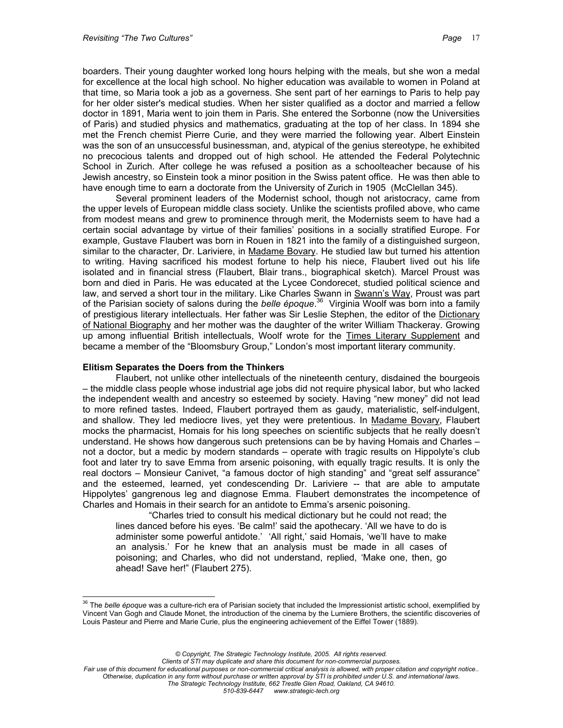boarders. Their young daughter worked long hours helping with the meals, but she won a medal for excellence at the local high school. No higher education was available to women in Poland at that time, so Maria took a job as a governess. She sent part of her earnings to Paris to help pay for her older sister's medical studies. When her sister qualified as a doctor and married a fellow doctor in 1891, Maria went to join them in Paris. She entered the Sorbonne (now the Universities of Paris) and studied physics and mathematics, graduating at the top of her class. In 1894 she met the French chemist Pierre Curie, and they were married the following year. Albert Einstein was the son of an unsuccessful businessman, and, atypical of the genius stereotype, he exhibited no precocious talents and dropped out of high school. He attended the Federal Polytechnic School in Zurich. After college he was refused a position as a schoolteacher because of his Jewish ancestry, so Einstein took a minor position in the Swiss patent office. He was then able to have enough time to earn a doctorate from the University of Zurich in 1905 (McClellan 345).

Several prominent leaders of the Modernist school, though not aristocracy, came from the upper levels of European middle class society. Unlike the scientists profiled above, who came from modest means and grew to prominence through merit, the Modernists seem to have had a certain social advantage by virtue of their families' positions in a socially stratified Europe. For example, Gustave Flaubert was born in Rouen in 1821 into the family of a distinguished surgeon, similar to the character, Dr. Lariviere, in Madame Bovary. He studied law but turned his attention to writing. Having sacrificed his modest fortune to help his niece, Flaubert lived out his life isolated and in financial stress (Flaubert, Blair trans., biographical sketch). Marcel Proust was born and died in Paris. He was educated at the Lycee Condorecet, studied political science and law, and served a short tour in the military. Like Charles Swann in Swann's Way, Proust was part of the Parisian society of salons during the *belle époque*. [36](#page-16-0) Virginia Woolf was born into a family of prestigious literary intellectuals. Her father was Sir Leslie Stephen, the editor of the Dictionary of National Biography and her mother was the daughter of the writer William Thackeray. Growing up among influential British intellectuals, Woolf wrote for the Times Literary Supplement and became a member of the "Bloomsbury Group," London's most important literary community.

#### **Elitism Separates the Doers from the Thinkers**

Flaubert, not unlike other intellectuals of the nineteenth century, disdained the bourgeois – the middle class people whose industrial age jobs did not require physical labor, but who lacked the independent wealth and ancestry so esteemed by society. Having "new money" did not lead to more refined tastes. Indeed, Flaubert portrayed them as gaudy, materialistic, self-indulgent, and shallow. They led mediocre lives, yet they were pretentious. In Madame Bovary, Flaubert mocks the pharmacist, Homais for his long speeches on scientific subjects that he really doesn't understand. He shows how dangerous such pretensions can be by having Homais and Charles – not a doctor, but a medic by modern standards – operate with tragic results on Hippolyte's club foot and later try to save Emma from arsenic poisoning, with equally tragic results. It is only the real doctors – Monsieur Canivet, "a famous doctor of high standing" and "great self assurance" and the esteemed, learned, yet condescending Dr. Lariviere -- that are able to amputate Hippolytes' gangrenous leg and diagnose Emma. Flaubert demonstrates the incompetence of Charles and Homais in their search for an antidote to Emma's arsenic poisoning.

"Charles tried to consult his medical dictionary but he could not read; the lines danced before his eyes. 'Be calm!' said the apothecary. 'All we have to do is administer some powerful antidote.' 'All right,' said Homais, 'we'll have to make an analysis.' For he knew that an analysis must be made in all cases of poisoning; and Charles, who did not understand, replied, 'Make one, then, go ahead! Save her!" (Flaubert 275).

*Clients of STI may duplicate and share this document for non-commercial purposes.*

<span id="page-16-0"></span> $\overline{a}$ <sup>36</sup> The *belle époque* was a culture-rich era of Parisian society that included the Impressionist artistic school, exemplified by Vincent Van Gogh and Claude Monet, the introduction of the cinema by the Lumiere Brothers, the scientific discoveries of Louis Pasteur and Pierre and Marie Curie, plus the engineering achievement of the Eiffel Tower (1889).

*<sup>©</sup> Copyright, The Strategic Technology Institute, 2005. All rights reserved.*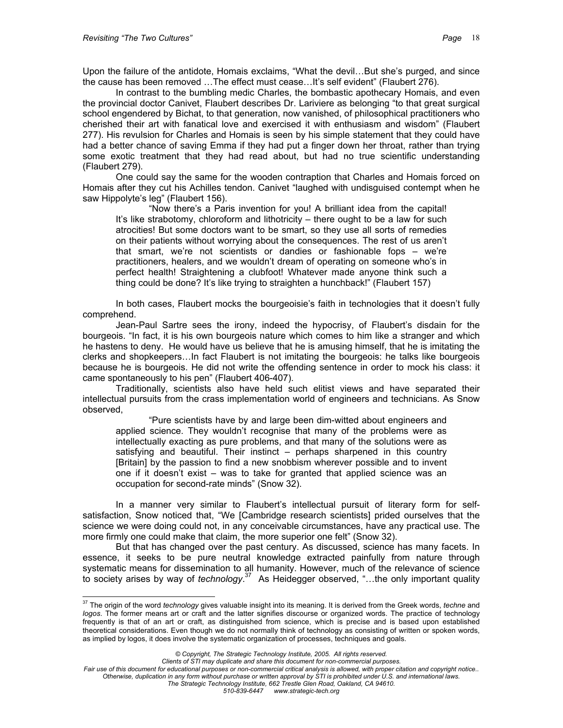Upon the failure of the antidote, Homais exclaims, "What the devil…But she's purged, and since the cause has been removed …The effect must cease…It's self evident" (Flaubert 276).

In contrast to the bumbling medic Charles, the bombastic apothecary Homais, and even the provincial doctor Canivet, Flaubert describes Dr. Lariviere as belonging "to that great surgical school engendered by Bichat, to that generation, now vanished, of philosophical practitioners who cherished their art with fanatical love and exercised it with enthusiasm and wisdom" (Flaubert 277). His revulsion for Charles and Homais is seen by his simple statement that they could have had a better chance of saving Emma if they had put a finger down her throat, rather than trying some exotic treatment that they had read about, but had no true scientific understanding (Flaubert 279).

One could say the same for the wooden contraption that Charles and Homais forced on Homais after they cut his Achilles tendon. Canivet "laughed with undisguised contempt when he saw Hippolyte's leg" (Flaubert 156).

"Now there's a Paris invention for you! A brilliant idea from the capital! It's like strabotomy, chloroform and lithotricity – there ought to be a law for such atrocities! But some doctors want to be smart, so they use all sorts of remedies on their patients without worrying about the consequences. The rest of us aren't that smart, we're not scientists or dandies or fashionable fops – we're practitioners, healers, and we wouldn't dream of operating on someone who's in perfect health! Straightening a clubfoot! Whatever made anyone think such a thing could be done? It's like trying to straighten a hunchback!" (Flaubert 157)

In both cases, Flaubert mocks the bourgeoisie's faith in technologies that it doesn't fully comprehend.

Jean-Paul Sartre sees the irony, indeed the hypocrisy, of Flaubert's disdain for the bourgeois. "In fact, it is his own bourgeois nature which comes to him like a stranger and which he hastens to deny. He would have us believe that he is amusing himself, that he is imitating the clerks and shopkeepers…In fact Flaubert is not imitating the bourgeois: he talks like bourgeois because he is bourgeois. He did not write the offending sentence in order to mock his class: it came spontaneously to his pen" (Flaubert 406-407).

Traditionally, scientists also have held such elitist views and have separated their intellectual pursuits from the crass implementation world of engineers and technicians. As Snow observed,

"Pure scientists have by and large been dim-witted about engineers and applied science. They wouldn't recognise that many of the problems were as intellectually exacting as pure problems, and that many of the solutions were as satisfying and beautiful. Their instinct – perhaps sharpened in this country [Britain] by the passion to find a new snobbism wherever possible and to invent one if it doesn't exist – was to take for granted that applied science was an occupation for second-rate minds" (Snow 32).

In a manner very similar to Flaubert's intellectual pursuit of literary form for selfsatisfaction, Snow noticed that, "We [Cambridge research scientists] prided ourselves that the science we were doing could not, in any conceivable circumstances, have any practical use. The more firmly one could make that claim, the more superior one felt" (Snow 32).

But that has changed over the past century. As discussed, science has many facets. In essence, it seeks to be pure neutral knowledge extracted painfully from nature through systematic means for dissemination to all humanity. However, much of the relevance of science to society arises by way of *technology*. [37](#page-17-0) As Heidegger observed, "…the only important quality

<span id="page-17-0"></span> $\overline{a}$ <sup>37</sup> The origin of the word *technology* gives valuable insight into its meaning. It is derived from the Greek words, *techne* and *logos*. The former means art or craft and the latter signifies discourse or organized words. The practice of technology frequently is that of an art or craft, as distinguished from science, which is precise and is based upon established theoretical considerations. Even though we do not normally think of technology as consisting of written or spoken words, as implied by logos, it does involve the systematic organization of processes, techniques and goals.

*<sup>©</sup> Copyright, The Strategic Technology Institute, 2005. All rights reserved.*

*Fair use of this document for educational purposes or non-commercial critical analysis is allowed, with proper citation and copyright notice.. Otherwise, duplication in any form without purchase or written approval by STI is prohibited under U.S. and international laws. The Strategic Technology Institute, 662 Trestle Glen Road, Oakland, CA 94610.*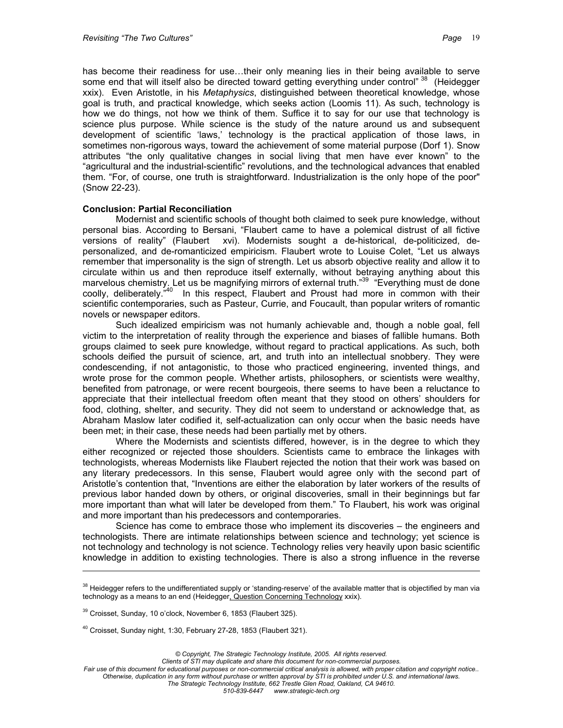has become their readiness for use...their only meaning lies in their being available to serve some end that will itself also be directed toward getting everything under control" [38](#page-18-0) (Heidegger xxix). Even Aristotle, in his *Metaphysics*, distinguished between theoretical knowledge, whose goal is truth, and practical knowledge, which seeks action (Loomis 11). As such, technology is how we do things, not how we think of them. Suffice it to say for our use that technology is science plus purpose. While science is the study of the nature around us and subsequent development of scientific 'laws,' technology is the practical application of those laws, in sometimes non-rigorous ways, toward the achievement of some material purpose (Dorf 1). Snow attributes "the only qualitative changes in social living that men have ever known" to the "agricultural and the industrial-scientific" revolutions, and the technological advances that enabled them. "For, of course, one truth is straightforward. Industrialization is the only hope of the poor" (Snow 22-23).

## **Conclusion: Partial Reconciliation**

Modernist and scientific schools of thought both claimed to seek pure knowledge, without personal bias. According to Bersani, "Flaubert came to have a polemical distrust of all fictive versions of reality" (Flaubert xvi). Modernists sought a de-historical, de-politicized, depersonalized, and de-romanticized empiricism. Flaubert wrote to Louise Colet, "Let us always remember that impersonality is the sign of strength. Let us absorb objective reality and allow it to circulate within us and then reproduce itself externally, without betraying anything about this marvelous chemistry. Let us be magnifying mirrors of external truth."<sup>39</sup> "Everything must de done coolly, deliberately."[40](#page-18-2) In this respect, Flaubert and Proust had more in common with their scientific contemporaries, such as Pasteur, Currie, and Foucault, than popular writers of romantic novels or newspaper editors.

Such idealized empiricism was not humanly achievable and, though a noble goal, fell victim to the interpretation of reality through the experience and biases of fallible humans. Both groups claimed to seek pure knowledge, without regard to practical applications. As such, both schools deified the pursuit of science, art, and truth into an intellectual snobbery. They were condescending, if not antagonistic, to those who practiced engineering, invented things, and wrote prose for the common people. Whether artists, philosophers, or scientists were wealthy, benefited from patronage, or were recent bourgeois, there seems to have been a reluctance to appreciate that their intellectual freedom often meant that they stood on others' shoulders for food, clothing, shelter, and security. They did not seem to understand or acknowledge that, as Abraham Maslow later codified it, self-actualization can only occur when the basic needs have been met; in their case, these needs had been partially met by others.

Where the Modernists and scientists differed, however, is in the degree to which they either recognized or rejected those shoulders. Scientists came to embrace the linkages with technologists, whereas Modernists like Flaubert rejected the notion that their work was based on any literary predecessors. In this sense, Flaubert would agree only with the second part of Aristotle's contention that, "Inventions are either the elaboration by later workers of the results of previous labor handed down by others, or original discoveries, small in their beginnings but far more important than what will later be developed from them." To Flaubert, his work was original and more important than his predecessors and contemporaries.

Science has come to embrace those who implement its discoveries – the engineers and technologists. There are intimate relationships between science and technology; yet science is not technology and technology is not science. Technology relies very heavily upon basic scientific knowledge in addition to existing technologies. There is also a strong influence in the reverse

 $\overline{a}$ 

<span id="page-18-0"></span><sup>&</sup>lt;sup>38</sup> Heidegger refers to the undifferentiated supply or 'standing-reserve' of the available matter that is objectified by man via technology as a means to an end (Heidegger, Question Concerning Technology xxix).

<span id="page-18-1"></span><sup>39</sup> Croisset, Sunday, 10 o'clock, November 6, 1853 (Flaubert 325).

<span id="page-18-2"></span><sup>40</sup> Croisset, Sunday night, 1:30, February 27-28, 1853 (Flaubert 321).

*Clients of STI may duplicate and share this document for non-commercial purposes.*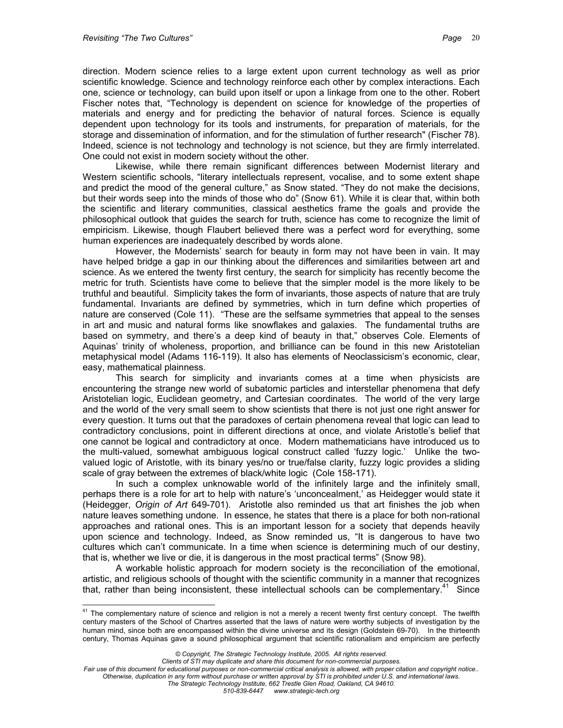direction. Modern science relies to a large extent upon current technology as well as prior scientific knowledge. Science and technology reinforce each other by complex interactions. Each one, science or technology, can build upon itself or upon a linkage from one to the other. Robert Fischer notes that, "Technology is dependent on science for knowledge of the properties of materials and energy and for predicting the behavior of natural forces. Science is equally dependent upon technology for its tools and instruments, for preparation of materials, for the storage and dissemination of information, and for the stimulation of further research" (Fischer 78). Indeed, science is not technology and technology is not science, but they are firmly interrelated. One could not exist in modern society without the other.

Likewise, while there remain significant differences between Modernist literary and Western scientific schools, "literary intellectuals represent, vocalise, and to some extent shape and predict the mood of the general culture," as Snow stated. "They do not make the decisions, but their words seep into the minds of those who do" (Snow 61). While it is clear that, within both the scientific and literary communities, classical aesthetics frame the goals and provide the philosophical outlook that guides the search for truth, science has come to recognize the limit of empiricism. Likewise, though Flaubert believed there was a perfect word for everything, some human experiences are inadequately described by words alone.

However, the Modernists' search for beauty in form may not have been in vain. It may have helped bridge a gap in our thinking about the differences and similarities between art and science. As we entered the twenty first century, the search for simplicity has recently become the metric for truth. Scientists have come to believe that the simpler model is the more likely to be truthful and beautiful. Simplicity takes the form of invariants, those aspects of nature that are truly fundamental. Invariants are defined by symmetries, which in turn define which properties of nature are conserved (Cole 11). "These are the selfsame symmetries that appeal to the senses in art and music and natural forms like snowflakes and galaxies. The fundamental truths are based on symmetry, and there's a deep kind of beauty in that," observes Cole. Elements of Aquinas' trinity of wholeness, proportion, and brilliance can be found in this new Aristotelian metaphysical model (Adams 116-119). It also has elements of Neoclassicism's economic, clear, easy, mathematical plainness.

This search for simplicity and invariants comes at a time when physicists are encountering the strange new world of subatomic particles and interstellar phenomena that defy Aristotelian logic, Euclidean geometry, and Cartesian coordinates. The world of the very large and the world of the very small seem to show scientists that there is not just one right answer for every question. It turns out that the paradoxes of certain phenomena reveal that logic can lead to contradictory conclusions, point in different directions at once, and violate Aristotle's belief that one cannot be logical and contradictory at once. Modern mathematicians have introduced us to the multi-valued, somewhat ambiguous logical construct called 'fuzzy logic.' Unlike the twovalued logic of Aristotle, with its binary yes/no or true/false clarity, fuzzy logic provides a sliding scale of gray between the extremes of black/white logic (Cole 158-171).

In such a complex unknowable world of the infinitely large and the infinitely small, perhaps there is a role for art to help with nature's 'unconcealment,' as Heidegger would state it (Heidegger, *Origin of Art* 649-701). Aristotle also reminded us that art finishes the job when nature leaves something undone. In essence, he states that there is a place for both non-rational approaches and rational ones. This is an important lesson for a society that depends heavily upon science and technology. Indeed, as Snow reminded us, "It is dangerous to have two cultures which can't communicate. In a time when science is determining much of our destiny, that is, whether we live or die, it is dangerous in the most practical terms" (Snow 98).

A workable holistic approach for modern society is the reconciliation of the emotional, artistic, and religious schools of thought with the scientific community in a manner that recognizes that, rather than being inconsistent, these intellectual schools can be complementary.<sup>41</sup> Since

*Clients of STI may duplicate and share this document for non-commercial purposes.*

*Fair use of this document for educational purposes or non-commercial critical analysis is allowed, with proper citation and copyright notice.. Otherwise, duplication in any form without purchase or written approval by STI is prohibited under U.S. and international laws.*

*The Strategic Technology Institute, 662 Trestle Glen Road, Oakland, CA 94610. 510-839-6447 www.strategic-tech.org*

<span id="page-19-0"></span> $\overline{a}$ <sup>41</sup> The complementary nature of science and religion is not a merely a recent twenty first century concept. The twelfth century masters of the School of Chartres asserted that the laws of nature were worthy subjects of investigation by the human mind, since both are encompassed within the divine universe and its design (Goldstein 69-70). In the thirteenth century, Thomas Aquinas gave a sound philosophical argument that scientific rationalism and empiricism are perfectly

*<sup>©</sup> Copyright, The Strategic Technology Institute, 2005. All rights reserved.*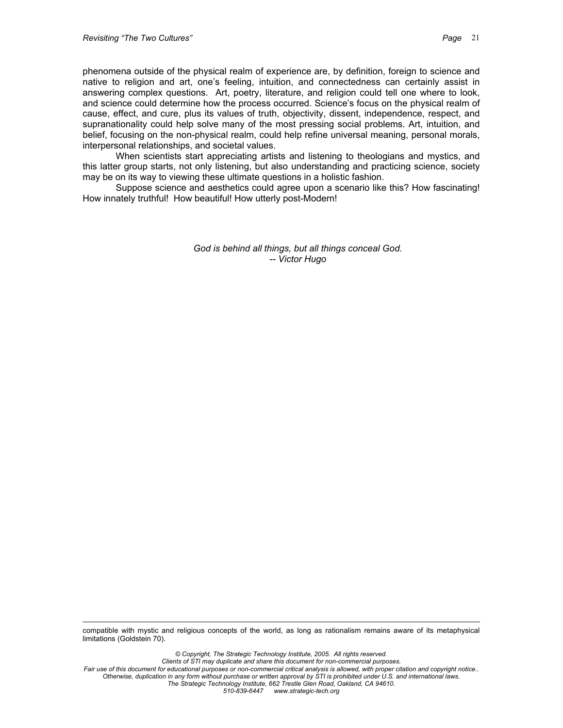phenomena outside of the physical realm of experience are, by definition, foreign to science and native to religion and art, one's feeling, intuition, and connectedness can certainly assist in answering complex questions. Art, poetry, literature, and religion could tell one where to look, and science could determine how the process occurred. Science's focus on the physical realm of cause, effect, and cure, plus its values of truth, objectivity, dissent, independence, respect, and supranationality could help solve many of the most pressing social problems. Art, intuition, and belief, focusing on the non-physical realm, could help refine universal meaning, personal morals, interpersonal relationships, and societal values.

When scientists start appreciating artists and listening to theologians and mystics, and this latter group starts, not only listening, but also understanding and practicing science, society may be on its way to viewing these ultimate questions in a holistic fashion.

Suppose science and aesthetics could agree upon a scenario like this? How fascinating! How innately truthful! How beautiful! How utterly post-Modern!

> *God is behind all things, but all things conceal God. -- Victor Hugo*

 $\overline{a}$ compatible with mystic and religious concepts of the world, as long as rationalism remains aware of its metaphysical limitations (Goldstein 70).

*© Copyright, The Strategic Technology Institute, 2005. All rights reserved. Clients of STI may duplicate and share this document for non-commercial purposes. Fair use of this document for educational purposes or non-commercial critical analysis is allowed, with proper citation and copyright notice.. Otherwise, duplication in any form without purchase or written approval by STI is prohibited under U.S. and international laws. The Strategic Technology Institute, 662 Trestle Glen Road, Oakland, CA 94610. 510-839-6447 www.strategic-tech.org*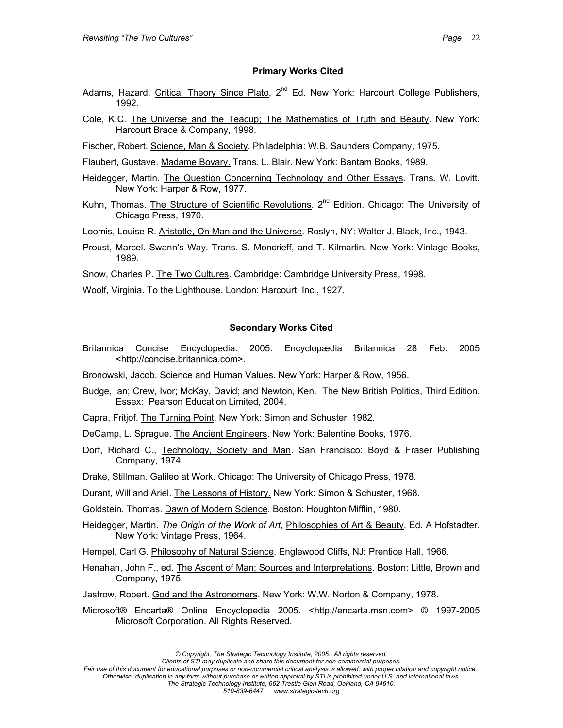#### **Primary Works Cited**

- Adams, Hazard. Critical Theory Since Plato, 2<sup>nd</sup> Ed. New York: Harcourt College Publishers, 1992.
- Cole, K.C. The Universe and the Teacup; The Mathematics of Truth and Beauty. New York: Harcourt Brace & Company, 1998.
- Fischer, Robert. Science, Man & Society. Philadelphia: W.B. Saunders Company, 1975.
- Flaubert, Gustave. Madame Bovary. Trans. L. Blair. New York: Bantam Books, 1989.
- Heidegger, Martin. The Question Concerning Technology and Other Essays. Trans. W. Lovitt. New York: Harper & Row, 1977.
- Kuhn, Thomas. The Structure of Scientific Revolutions.  $2^{nd}$  Edition. Chicago: The University of Chicago Press, 1970.
- Loomis, Louise R. Aristotle, On Man and the Universe. Roslyn, NY: Walter J. Black, Inc., 1943.
- Proust, Marcel. **Swann's Way**. Trans. S. Moncrieff, and T. Kilmartin. New York: Vintage Books, 1989.
- Snow, Charles P. The Two Cultures. Cambridge: Cambridge University Press, 1998.
- Woolf, Virginia. To the Lighthouse. London: Harcourt, Inc., 1927.

#### **Secondary Works Cited**

- Britannica Concise Encyclopedia. 2005. Encyclopædia Britannica 28 Feb. 2005 <http://concise.britannica.com>.
- Bronowski, Jacob. Science and Human Values. New York: Harper & Row, 1956.
- Budge, Ian; Crew, Ivor; McKay, David; and Newton, Ken. The New British Politics, Third Edition. Essex: Pearson Education Limited, 2004.
- Capra, Fritjof. The Turning Point. New York: Simon and Schuster, 1982.
- DeCamp, L. Sprague. The Ancient Engineers. New York: Balentine Books, 1976.
- Dorf, Richard C., Technology, Society and Man. San Francisco: Boyd & Fraser Publishing Company, 1974.
- Drake, Stillman. Galileo at Work. Chicago: The University of Chicago Press, 1978.
- Durant, Will and Ariel. The Lessons of History. New York: Simon & Schuster, 1968.
- Goldstein, Thomas. Dawn of Modern Science. Boston: Houghton Mifflin, 1980.
- Heidegger, Martin. *The Origin of the Work of Art*, Philosophies of Art & Beauty. Ed. A Hofstadter. New York: Vintage Press, 1964.
- Hempel, Carl G. Philosophy of Natural Science. Englewood Cliffs, NJ: Prentice Hall, 1966.
- Henahan, John F., ed. The Ascent of Man; Sources and Interpretations. Boston: Little, Brown and Company, 1975.
- Jastrow, Robert. God and the Astronomers. New York: W.W. Norton & Company, 1978.
- Microsoft® Encarta® Online Encyclopedia 2005. <http://encarta.msn.com> © 1997-2005 Microsoft Corporation. All Rights Reserved.

*<sup>©</sup> Copyright, The Strategic Technology Institute, 2005. All rights reserved.*

*Clients of STI may duplicate and share this document for non-commercial purposes.*

*Fair use of this document for educational purposes or non-commercial critical analysis is allowed, with proper citation and copyright notice.. Otherwise, duplication in any form without purchase or written approval by STI is prohibited under U.S. and international laws. The Strategic Technology Institute, 662 Trestle Glen Road, Oakland, CA 94610. 510-839-6447 www.strategic-tech.org*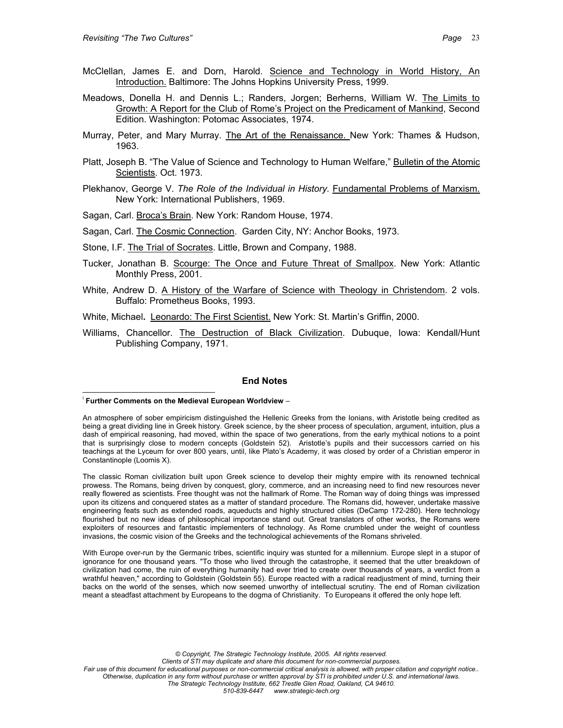- McClellan, James E. and Dorn, Harold. Science and Technology in World History, An Introduction. Baltimore: The Johns Hopkins University Press, 1999.
- Meadows, Donella H. and Dennis L.; Randers, Jorgen; Berherns, William W. The Limits to Growth: A Report for the Club of Rome's Project on the Predicament of Mankind, Second Edition. Washington: Potomac Associates, 1974.
- Murray, Peter, and Mary Murray. The Art of the Renaissance. New York: Thames & Hudson, 1963.
- Platt, Joseph B. "The Value of Science and Technology to Human Welfare," Bulletin of the Atomic Scientists. Oct. 1973.
- Plekhanov, George V. *The Role of the Individual in History.* Fundamental Problems of Marxism. New York: International Publishers, 1969.
- Sagan, Carl. Broca's Brain. New York: Random House, 1974.
- Sagan, Carl. The Cosmic Connection. Garden City, NY: Anchor Books, 1973.
- Stone, I.F. The Trial of Socrates. Little, Brown and Company, 1988.
- Tucker, Jonathan B. Scourge: The Once and Future Threat of Smallpox. New York: Atlantic Monthly Press, 2001.
- White, Andrew D. A History of the Warfare of Science with Theology in Christendom. 2 vols. Buffalo: Prometheus Books, 1993.
- White, Michael**.** Leonardo: The First Scientist. New York: St. Martin's Griffin, 2000.
- Williams, Chancellor. The Destruction of Black Civilization. Dubuque, Iowa: Kendall/Hunt Publishing Company, 1971.

#### **End Notes**

 $\overline{a}$ 

The classic Roman civilization built upon Greek science to develop their mighty empire with its renowned technical prowess. The Romans, being driven by conquest, glory, commerce, and an increasing need to find new resources never really flowered as scientists. Free thought was not the hallmark of Rome. The Roman way of doing things was impressed upon its citizens and conquered states as a matter of standard procedure. The Romans did, however, undertake massive engineering feats such as extended roads, aqueducts and highly structured cities (DeCamp 172-280). Here technology flourished but no new ideas of philosophical importance stand out. Great translators of other works, the Romans were exploiters of resources and fantastic implementers of technology. As Rome crumbled under the weight of countless invasions, the cosmic vision of the Greeks and the technological achievements of the Romans shriveled.

With Europe over-run by the Germanic tribes, scientific inquiry was stunted for a millennium. Europe slept in a stupor of ignorance for one thousand years. "To those who lived through the catastrophe, it seemed that the utter breakdown of civilization had come, the ruin of everything humanity had ever tried to create over thousands of years, a verdict from a wrathful heaven," according to Goldstein (Goldstein 55). Europe reacted with a radical readjustment of mind, turning their backs on the world of the senses, which now seemed unworthy of intellectual scrutiny. The end of Roman civilization meant a steadfast attachment by Europeans to the dogma of Christianity. To Europeans it offered the only hope left.

i **Further Comments on the Medieval European Worldview** –

An atmosphere of sober empiricism distinguished the Hellenic Greeks from the Ionians, with Aristotle being credited as being a great dividing line in Greek history. Greek science, by the sheer process of speculation, argument, intuition, plus a dash of empirical reasoning, had moved, within the space of two generations, from the early mythical notions to a point that is surprisingly close to modern concepts (Goldstein 52). Aristotle's pupils and their successors carried on his teachings at the Lyceum for over 800 years, until, like Plato's Academy, it was closed by order of a Christian emperor in Constantinople (Loomis X).